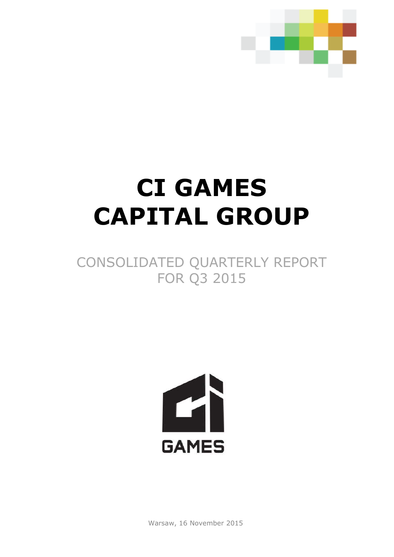

# **CI GAMES CAPITAL GROUP**

# CONSOLIDATED QUARTERLY REPORT FOR Q3 2015



Warsaw, 16 November 2015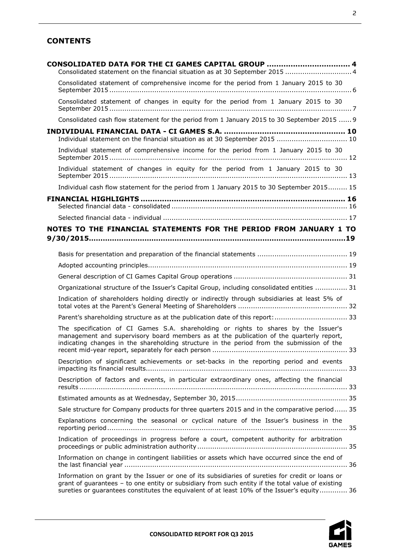# **CONTENTS**

| CONSOLIDATED DATA FOR THE CI GAMES CAPITAL GROUP  4<br>Consolidated statement on the financial situation as at 30 September 2015  4                                                                                                                                                                  |  |
|------------------------------------------------------------------------------------------------------------------------------------------------------------------------------------------------------------------------------------------------------------------------------------------------------|--|
| Consolidated statement of comprehensive income for the period from 1 January 2015 to 30                                                                                                                                                                                                              |  |
| Consolidated statement of changes in equity for the period from 1 January 2015 to 30                                                                                                                                                                                                                 |  |
| Consolidated cash flow statement for the period from 1 January 2015 to 30 September 2015  9                                                                                                                                                                                                          |  |
|                                                                                                                                                                                                                                                                                                      |  |
| Individual statement on the financial situation as at 30 September 2015  10                                                                                                                                                                                                                          |  |
| Individual statement of comprehensive income for the period from 1 January 2015 to 30                                                                                                                                                                                                                |  |
| Individual statement of changes in equity for the period from 1 January 2015 to 30                                                                                                                                                                                                                   |  |
| Individual cash flow statement for the period from 1 January 2015 to 30 September 2015 15                                                                                                                                                                                                            |  |
|                                                                                                                                                                                                                                                                                                      |  |
|                                                                                                                                                                                                                                                                                                      |  |
| NOTES TO THE FINANCIAL STATEMENTS FOR THE PERIOD FROM JANUARY 1 TO                                                                                                                                                                                                                                   |  |
|                                                                                                                                                                                                                                                                                                      |  |
|                                                                                                                                                                                                                                                                                                      |  |
|                                                                                                                                                                                                                                                                                                      |  |
|                                                                                                                                                                                                                                                                                                      |  |
| Organizational structure of the Issuer's Capital Group, including consolidated entities  31                                                                                                                                                                                                          |  |
| Indication of shareholders holding directly or indirectly through subsidiaries at least 5% of                                                                                                                                                                                                        |  |
| Parent's shareholding structure as at the publication date of this report:  33                                                                                                                                                                                                                       |  |
| The specification of CI Games S.A. shareholding or rights to shares by the Issuer's<br>management and supervisory board members as at the publication of the quarterly report,<br>indicating changes in the shareholding structure in the period from the submission of the                          |  |
| Description of significant achievements or set-backs in the reporting period and events                                                                                                                                                                                                              |  |
| Description of factors and events, in particular extraordinary ones, affecting the financial                                                                                                                                                                                                         |  |
|                                                                                                                                                                                                                                                                                                      |  |
| Sale structure for Company products for three quarters 2015 and in the comparative period 35                                                                                                                                                                                                         |  |
| Explanations concerning the seasonal or cyclical nature of the Issuer's business in the                                                                                                                                                                                                              |  |
| Indication of proceedings in progress before a court, competent authority for arbitration                                                                                                                                                                                                            |  |
| Information on change in contingent liabilities or assets which have occurred since the end of                                                                                                                                                                                                       |  |
| Information on grant by the Issuer or one of its subsidiaries of sureties for credit or loans or<br>grant of guarantees - to one entity or subsidiary from such entity if the total value of existing<br>sureties or guarantees constitutes the equivalent of at least 10% of the Issuer's equity 36 |  |

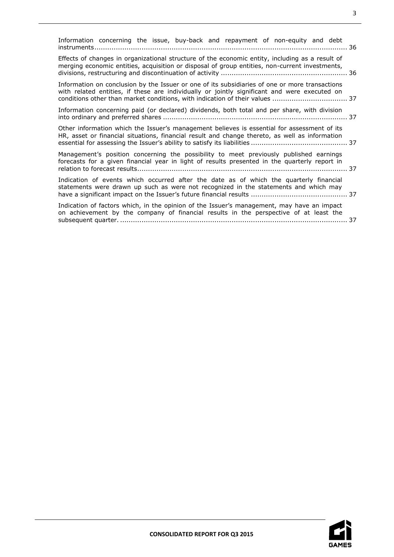| Information concerning the issue, buy-back and repayment of non-equity and debt                                                                                                                                                                                                |  |  |  |  |  |  |  |  |
|--------------------------------------------------------------------------------------------------------------------------------------------------------------------------------------------------------------------------------------------------------------------------------|--|--|--|--|--|--|--|--|
| Effects of changes in organizational structure of the economic entity, including as a result of<br>merging economic entities, acquisition or disposal of group entities, non-current investments,                                                                              |  |  |  |  |  |  |  |  |
| Information on conclusion by the Issuer or one of its subsidiaries of one or more transactions<br>with related entities, if these are individually or jointly significant and were executed on<br>conditions other than market conditions, with indication of their values  37 |  |  |  |  |  |  |  |  |
| Information concerning paid (or declared) dividends, both total and per share, with division                                                                                                                                                                                   |  |  |  |  |  |  |  |  |
| Other information which the Issuer's management believes is essential for assessment of its<br>HR, asset or financial situations, financial result and change thereto, as well as information                                                                                  |  |  |  |  |  |  |  |  |
| Management's position concerning the possibility to meet previously published earnings<br>forecasts for a given financial year in light of results presented in the quarterly report in                                                                                        |  |  |  |  |  |  |  |  |
| Indication of events which occurred after the date as of which the quarterly financial<br>statements were drawn up such as were not recognized in the statements and which may                                                                                                 |  |  |  |  |  |  |  |  |
| Indication of factors which, in the opinion of the Issuer's management, may have an impact<br>on achievement by the company of financial results in the perspective of at least the                                                                                            |  |  |  |  |  |  |  |  |

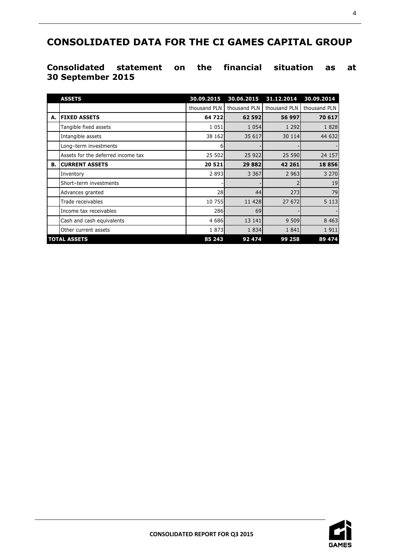# <span id="page-3-0"></span>**CONSOLIDATED DATA FOR THE CI GAMES CAPITAL GROUP**

# <span id="page-3-1"></span>**Consolidated statement on the financial situation as at 30 September 2015**

|    | <b>ASSETS</b>                      | 30.09.2015   | 30.06.2015   | 31.12.2014   | 30.09.2014   |
|----|------------------------------------|--------------|--------------|--------------|--------------|
|    |                                    | thousand PLN | thousand PLN | thousand PLN | thousand PLN |
| А. | <b>FIXED ASSETS</b>                | 64 722       | 62 592       | 56 997       | 70 617       |
|    | Tangible fixed assets              | 1 0 5 1      | 1 0 5 4      | 1 2 9 2      | 1828         |
|    | Intangible assets                  | 38 162       | 35 617       | 30 114       | 44 632       |
|    | Long-term investments              | 6            |              |              |              |
|    | Assets for the deferred income tax | 25 502       | 25 9 22      | 25 590       | 24 157       |
| В. | <b>CURRENT ASSETS</b>              | 20 5 21      | 29 8 8 2     | 42 261       | 18 856       |
|    | Inventory                          | 2 8 9 3      | 3 3 6 7      | 2 9 6 3      | 3 2 7 0      |
|    | Short-term investments             |              |              |              | 19           |
|    | Advances granted                   | 28           | 44           | 273          | 79           |
|    | Trade receivables                  | 10 755       | 11 4 28      | 27 672       | 5 1 1 3      |
|    | Income tax receivables             | 286          | 69           |              |              |
|    | Cash and cash equivalents          | 4 6 8 6      | 13 14 1      | 9 509        | 8 4 6 3      |
|    | Other current assets               | 1873         | 1834         | 1841         | 1911         |
|    | <b>TOTAL ASSETS</b>                | 85 243       | 92 474       | 99 258       | 89 474       |

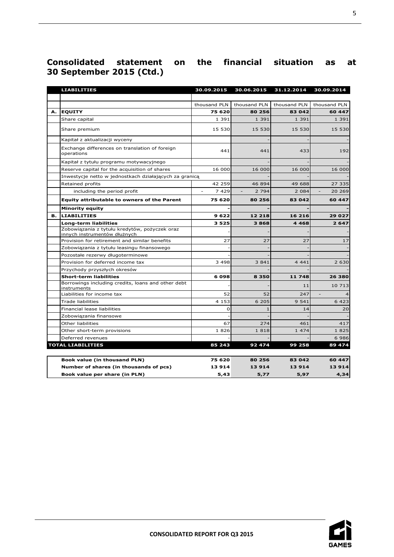# **Consolidated statement on the financial situation as at 30 September 2015 (Ctd.)**

|    | <b>LIABILITIES</b>                                                            | 30.09.2015            | 30.06.2015        | 31.12.2014   | 30.09.2014                          |
|----|-------------------------------------------------------------------------------|-----------------------|-------------------|--------------|-------------------------------------|
|    |                                                                               |                       |                   |              |                                     |
|    |                                                                               | thousand PLN          | thousand PLN      | thousand PLN | thousand PLN                        |
| А. | <b>EQUITY</b>                                                                 | 75 620                | 80 256            | 83 042       | 60 447                              |
|    | Share capital                                                                 | 1 3 9 1               | 1 3 9 1           | 1 3 9 1      | 1 3 9 1                             |
|    | Share premium                                                                 | 15 530                | 15 530            | 15 530       | 15 530                              |
|    | Kapitał z aktualizacji wyceny                                                 |                       |                   |              |                                     |
|    | Exchange differences on translation of foreign<br>operations                  | 441                   | 441               | 433          | 192                                 |
|    | Kapitał z tytułu programu motywacyjnego                                       |                       |                   |              |                                     |
|    | Reserve capital for the acquisition of shares                                 | 16 000                | 16 000            | 16 000       | 16 000                              |
|    | Inwestycje netto w jednostkach działających za granicą                        |                       |                   |              |                                     |
|    | Retained profits                                                              | 42 259                | 46 894            | 49 688       | 27 335                              |
|    | including the period profit                                                   | $\mathcal{L}$<br>7429 | $\sim$<br>2 7 9 4 | 2 0 8 4      | $\overline{\phantom{a}}$<br>20 26 9 |
|    | <b>Equity attributable to owners of the Parent</b>                            | 75 620                | 80 256            | 83 042       | 60 447                              |
|    | <b>Minority equity</b>                                                        |                       |                   |              |                                     |
| в. | <b>LIABILITIES</b>                                                            | 9622                  | 12 218            | 16 216       | 29 0 27                             |
|    | Long-term liabilities                                                         | 3525                  | 3868              | 4468         | 2647                                |
|    | Zobowiązania z tytułu kredytów, pożyczek oraz<br>innych instrumentów dłużnych |                       |                   |              |                                     |
|    | Provision for retirement and similar benefits                                 | 27                    | 27                | 27           | 17                                  |
|    | Zobowiązania z tytułu leasingu finansowego                                    |                       |                   |              |                                     |
|    | Pozostałe rezerwy długoterminowe                                              |                       |                   |              |                                     |
|    | Provision for deferred income tax                                             | 3 4 9 8               | 3841              | 4 4 4 1      | 2 630                               |
|    | Przychody przyszłych okresów                                                  |                       |                   |              |                                     |
|    | <b>Short-term liabilities</b>                                                 | 6098                  | 8 3 5 0           | 11 748       | 26 380                              |
|    | Borrowings including credits, loans and other debt<br>instruments             |                       |                   | 11           | 10 713                              |
|    | Liabilities for income tax                                                    | 52                    | 52                | 247          |                                     |
|    | <b>Trade liabilities</b>                                                      | 4 1 5 3               | 6 205             | 9 5 4 1      | 6 423                               |
|    | Financial lease liabilities                                                   | $\Omega$              | $\mathbf{1}$      | 14           | 20                                  |
|    | Zobowiązania finansowe                                                        |                       |                   |              |                                     |
|    | Other liabilities                                                             | 67                    | 274               | 461          | 417                                 |
|    | Other short-term provisions                                                   | 1826                  | 1818              | 1 474        | 1825                                |
|    | Deferred revenues                                                             |                       |                   |              | 6986                                |
|    | <b>TOTAL LIABILITIES</b>                                                      | 85 243                | 92 474            | 99 258       | 89 474                              |
|    | <b>Book value (in thousand PLN)</b>                                           | 75 620                | 80 256            | 83 042       | 60 447                              |
|    | Number of shares (in thousands of pcs)                                        | 13914                 | 13914             | 13914        | 13914                               |
|    | Book value per share (in PLN)                                                 | 5,43                  | 5,77              | 5,97         | 4,34                                |

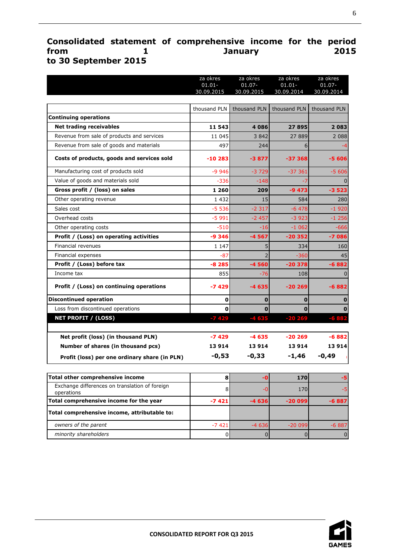# <span id="page-5-0"></span>**Consolidated statement of comprehensive income for the period from 1 January 2015 to 30 September 2015**

|                                               | za okres     | za okres     | za okres     | za okres     |
|-----------------------------------------------|--------------|--------------|--------------|--------------|
|                                               | $01.01 -$    | $01.07 -$    | $01.01 -$    | $01.07 -$    |
|                                               | 30.09.2015   | 30.09.2015   | 30.09.2014   | 30.09.2014   |
|                                               | thousand PLN | thousand PLN | thousand PLN | thousand PLN |
| <b>Continuing operations</b>                  |              |              |              |              |
| <b>Net trading receivables</b>                | 11 543       | 4086         | 27895        | 2083         |
| Revenue from sale of products and services    | 11 045       | 3842         | 27889        | 2 0 8 8      |
| Revenue from sale of goods and materials      | 497          | 244          | 6            | -4           |
| Costs of products, goods and services sold    | $-10283$     | $-3877$      | $-37368$     | -5 606       |
| Manufacturing cost of products sold           | $-9946$      | $-3729$      | $-37361$     | $-5606$      |
| Value of goods and materials sold             | $-336$       | $-148$       |              |              |
| Gross profit / (loss) on sales                | 1 260        | 209          | $-9473$      | $-3523$      |
| Other operating revenue                       | 1 4 3 2      | 15           | 584          | 280          |
| Sales cost                                    | $-5536$      | $-2317$      | $-6478$      | $-1920$      |
| Overhead costs                                | $-5991$      | $-2457$      | $-3923$      | $-1256$      |
| Other operating costs                         | $-510$       | $-16$        | $-1062$      | $-666$       |
| Profit / (Loss) on operating activities       | $-9346$      | $-4567$      | $-20352$     | $-7086$      |
| Financial revenues                            | 1 1 4 7      | 5            | 334          | 160          |
| Financial expenses                            | $-87$        |              | $-360$       | 45           |
| Profit / (Loss) before tax                    | $-8285$      | $-4560$      | $-20378$     | $-6882$      |
| Income tax                                    | 855          | -76          | 108          |              |
| Profit / (Loss) on continuing operations      | $-7429$      | -4 635       | $-20269$     | $-6882$      |
| <b>Discontinued operation</b>                 | $\mathbf 0$  | $\bf{0}$     | $\bf{0}$     |              |
| Loss from discontinued operations             | 0            | $\mathbf 0$  | $\Omega$     |              |
| <b>NET PROFIT / (LOSS)</b>                    | $-7429$      | $-4635$      | $-20269$     |              |
| Net profit (loss) (in thousand PLN)           | $-7429$      | $-4635$      | $-20269$     | $-6882$      |
| Number of shares (in thousand pcs)            | 13914        | 13914        | 13914        | 13914        |
| Profit (loss) per one ordinary share (in PLN) | $-0,53$      | $-0,33$      | $-1,46$      | $-0,49$      |

| Total other comprehensive income                             |         |         | 170I     |         |
|--------------------------------------------------------------|---------|---------|----------|---------|
| Exchange differences on translation of foreign<br>operations |         |         | 170      |         |
| Total comprehensive income for the year                      | $-7421$ | $-4636$ | $-20099$ | $-6887$ |
| Total comprehensive income, attributable to:                 |         |         |          |         |
| owners of the parent                                         | $-7421$ | $-4636$ | $-20099$ | $-6887$ |
| minority shareholders                                        |         |         |          |         |

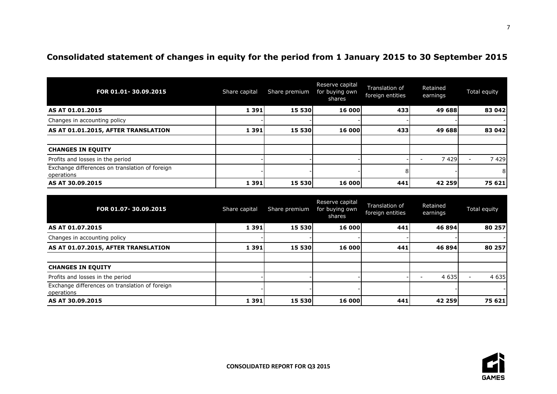# **Consolidated statement of changes in equity for the period from 1 January 2015 to 30 September 2015**

| FOR 01.01-30.09.2015                                         | Share capital | Share premium | Reserve capital<br>for buying own<br>shares | Translation of<br>foreign entities | Retained<br>earnings | Total equity |
|--------------------------------------------------------------|---------------|---------------|---------------------------------------------|------------------------------------|----------------------|--------------|
| AS AT 01.01.2015                                             | 1 3 9 1       | <b>15 530</b> | <b>16 000</b>                               | 4331                               | 49 688               | 83 042       |
| Changes in accounting policy                                 |               |               |                                             |                                    |                      |              |
| AS AT 01.01.2015, AFTER TRANSLATION                          | 1 3 9 1       | <b>15 530</b> | 16 000                                      | 4331                               | 49 688               | 83 042       |
|                                                              |               |               |                                             |                                    |                      |              |
| <b>CHANGES IN EQUITY</b>                                     |               |               |                                             |                                    |                      |              |
| Profits and losses in the period                             |               |               |                                             |                                    | 7 4 2 9              | 7429         |
| Exchange differences on translation of foreign<br>operations |               |               |                                             | 81                                 |                      | 81           |
| AS AT 30.09.2015                                             | 1 3 9 1       | <b>15 530</b> | <b>16 000</b>                               | 441                                | <b>42 259</b>        | 75 621       |

<span id="page-6-0"></span>

| FOR 01.07-30.09.2015                                         | Share capital | Share premium | Reserve capital<br>for buying own<br>shares | Translation of<br>foreign entities | Retained<br>earnings | Total equity |
|--------------------------------------------------------------|---------------|---------------|---------------------------------------------|------------------------------------|----------------------|--------------|
| AS AT 01.07.2015                                             | 1 3 9 1       | <b>15 530</b> | 16 000                                      | 441l                               | 46 894               | 80 257       |
| Changes in accounting policy                                 |               |               |                                             |                                    |                      |              |
| AS AT 01.07.2015, AFTER TRANSLATION                          | 1 3 9 1       | <b>15 530</b> | 16 000                                      | 441                                | 46 894               | 80 257       |
|                                                              |               |               |                                             |                                    |                      |              |
| <b>CHANGES IN EQUITY</b>                                     |               |               |                                             |                                    |                      |              |
| Profits and losses in the period                             |               |               |                                             |                                    | 4 6 3 5              | 4 6 3 5      |
| Exchange differences on translation of foreign<br>operations |               |               |                                             |                                    |                      |              |
| AS AT 30.09.2015                                             | 1 3 9 1       | 15 530        | 16 000                                      | 441                                | 42 259               | 75 621       |

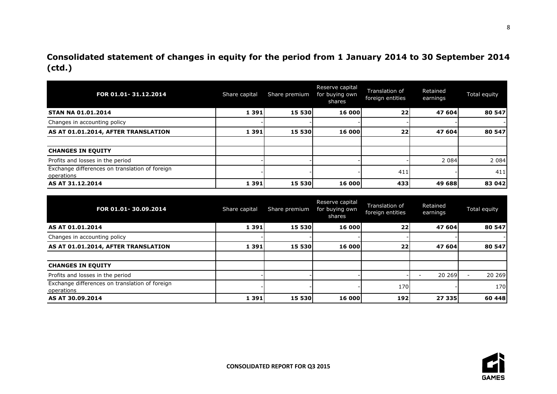**Consolidated statement of changes in equity for the period from 1 January 2014 to 30 September 2014 (ctd.)**

| FOR 01.01-31.12.2014                                         | Share capital | Share premium | Reserve capital<br>for buying own<br>shares | Translation of<br>foreign entities | Retained<br>earnings | Total equity |
|--------------------------------------------------------------|---------------|---------------|---------------------------------------------|------------------------------------|----------------------|--------------|
| <b>STAN NA 01.01.2014</b>                                    | 1 3 9 1       | <b>15 530</b> | 16 000                                      | 22                                 | 47 604               | 80 547       |
| Changes in accounting policy                                 |               |               |                                             |                                    |                      |              |
| AS AT 01.01.2014, AFTER TRANSLATION                          | 1 3 9 1       | 15 530        | 16 000                                      | 22                                 | 47 604               | 80 547       |
|                                                              |               |               |                                             |                                    |                      |              |
| <b>CHANGES IN EQUITY</b>                                     |               |               |                                             |                                    |                      |              |
| Profits and losses in the period                             |               |               |                                             |                                    | 2 0 8 4              | 2 0 8 4      |
| Exchange differences on translation of foreign<br>operations |               |               |                                             | 411                                |                      | 411          |
| AS AT 31.12.2014                                             | 1 3 9 1       | 15 530        | 16 000                                      | 433                                | 49 688               | 83 042       |

| FOR 01.01-30.09.2014                                         | Share capital | Share premium | Reserve capital<br>for buying own<br>shares | Translation of<br>foreign entities | Retained<br>earnings | Total equity |
|--------------------------------------------------------------|---------------|---------------|---------------------------------------------|------------------------------------|----------------------|--------------|
| AS AT 01.01.2014                                             | 1 3 9 1       | 15 530        | 16 000                                      | 22                                 | 47 604               | 80 547       |
| Changes in accounting policy                                 |               |               |                                             |                                    |                      |              |
| AS AT 01.01.2014, AFTER TRANSLATION                          | 1 3 9 1       | 15 530        | 16 000                                      | 22                                 | 47 604               | 80 547       |
|                                                              |               |               |                                             |                                    |                      |              |
| <b>CHANGES IN EQUITY</b>                                     |               |               |                                             |                                    |                      |              |
| Profits and losses in the period                             |               |               |                                             |                                    | 20 269               | 20 269       |
| Exchange differences on translation of foreign<br>operations |               |               |                                             | 170                                |                      | 170          |
| AS AT 30.09.2014                                             | 1 3 9 1       | 15 530        | 16 000                                      | 192                                | 27 335               | 60 448       |



8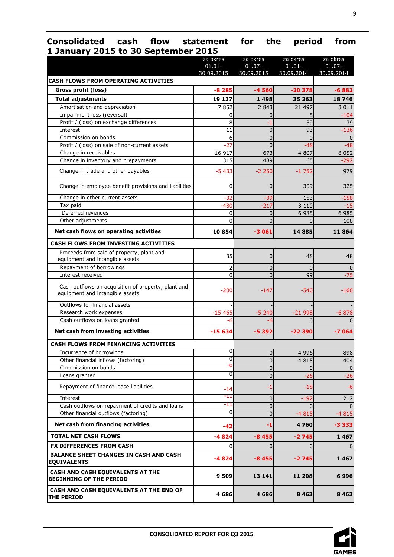# <span id="page-8-0"></span>**Consolidated cash flow statement for the period from 1 January 2015 to 30 September 2015**

|                                                                                        | za okres<br>$01.01 -$ | za okres<br>$01.07 -$ | za okres<br>$01.01 -$ | za okres<br>$01.07 -$ |
|----------------------------------------------------------------------------------------|-----------------------|-----------------------|-----------------------|-----------------------|
| <b>CASH FLOWS FROM OPERATING ACTIVITIES</b>                                            | 30.09.2015            | 30.09.2015            | 30.09.2014            | 30.09.2014            |
| Gross profit (loss)                                                                    | $-8285$               | $-4560$               | $-20378$              | $-6882$               |
| <b>Total adjustments</b>                                                               | 19 137                | 1498                  | 35 263                | 18746                 |
| Amortisation and depreciation                                                          | 7852                  | 2 8 4 3               | 21 497                | 3 0 1 1               |
| Impairment loss (reversal)                                                             | 0                     | $\overline{0}$        | 5                     | $-104$                |
| Profit / (loss) on exchange differences                                                | 8                     | -1                    | 39                    | 39                    |
| Interest                                                                               | 11                    | $\Omega$              | 93                    | -136                  |
| Commission on bonds                                                                    | 6                     | $\overline{0}$        | $\overline{0}$        | $\Omega$              |
| Profit / (loss) on sale of non-current assets                                          | $-27$                 | $\overline{0}$        | $-48$                 | $-48$                 |
| Change in receivables                                                                  | 16 917                | 673                   | 4 807                 | 8 0 5 2               |
| Change in inventory and prepayments                                                    | 315                   | 489                   | 65                    | $-292$                |
| Change in trade and other payables                                                     | $-5433$               | $-2250$               | $-1752$               | 979                   |
| Change in employee benefit provisions and liabilities                                  | 0                     | 0                     | 309                   | 325                   |
| Change in other current assets                                                         | $-32$                 | $-39$                 | 153                   | $-158$                |
| Tax paid                                                                               | $-480$                | $-217$                | 3 1 1 0               | -15                   |
| Deferred revenues                                                                      | 0                     | $\Omega$              | 6 9 8 5               | 6 9 8 5               |
| Other adjustments                                                                      | $\overline{0}$        | $\overline{0}$        | $\mathbf{0}$          | 108                   |
| Net cash flows on operating activities                                                 | 10854                 | $-3061$               | 14885                 | 11864                 |
| <b>CASH FLOWS FROM INVESTING ACTIVITIES</b>                                            |                       |                       |                       |                       |
| Proceeds from sale of property, plant and<br>equipment and intangible assets           | 35                    | $\overline{0}$        | 48                    | 48                    |
| Repayment of borrowings                                                                | $\overline{2}$        | $\overline{0}$        | $\Omega$              |                       |
| Interest received                                                                      | 0                     | $\overline{0}$        | 99                    | -75                   |
| Cash outflows on acquisition of property, plant and<br>equipment and intangible assets | $-200$                | $-147$                | $-540$                | $-160$                |
| Outflows for financial assets                                                          |                       |                       |                       |                       |
| Research work expenses                                                                 | $-15465$              | $-5240$               | $-21998$              | $-6878$               |
| Cash outflows on loans granted                                                         | -6                    | -6                    | $\Omega$              |                       |
| Net cash from investing activities                                                     | $-15634$              | -5 392                | $-22390$              | -7064                 |
| <b>CASH FLOWS FROM FINANCING ACTIVITIES</b>                                            |                       |                       |                       |                       |
| Incurrence of borrowings                                                               | U                     | 01                    | 4 9 9 6               | 898                   |
| Other financial inflows (factoring)                                                    | 0                     | $\overline{0}$        | 4 8 1 5               | 404                   |
| Commission on bonds                                                                    | ъ                     | $\overline{0}$        | 0                     | 0                     |
| Loans granted                                                                          | 0                     | $\overline{0}$        | $-26$                 | $-26$                 |
| Repayment of finance lease liabilities                                                 | -14                   | -1                    | $-18$                 | -6                    |
| Interest                                                                               | -11                   | $\overline{0}$        | $-192$                | 212                   |
| Cash outflows on repayment of credits and loans                                        | -11                   | 0                     |                       |                       |
| Other financial outflows (factoring)                                                   | 0                     | $\overline{0}$        | $-4815$               | $-4815$               |
| Net cash from financing activities                                                     | $-42$                 | -1                    | 4760                  | $-3333$               |
| <b>TOTAL NET CASH FLOWS</b>                                                            | $-4824$               | $-8455$               | $-2745$               | 1 4 6 7               |
| FX DIFFERENCES FROM CASH                                                               | 0                     | 0                     | 0                     |                       |
| <b>BALANCE SHEET CHANGES IN CASH AND CASH</b><br><b>EQUIVALENTS</b>                    | -4824                 | $-8455$               | $-2745$               | 1 4 6 7               |
| CASH AND CASH EQUIVALENTS AT THE<br><b>BEGINNING OF THE PERIOD</b>                     | 9 509                 | 13 14 1               | 11 208                | 6996                  |
| CASH AND CASH EQUIVALENTS AT THE END OF<br><b>THE PERIOD</b>                           | 4686                  | 4 686                 | 8 4 6 3               | 8 4 6 3               |

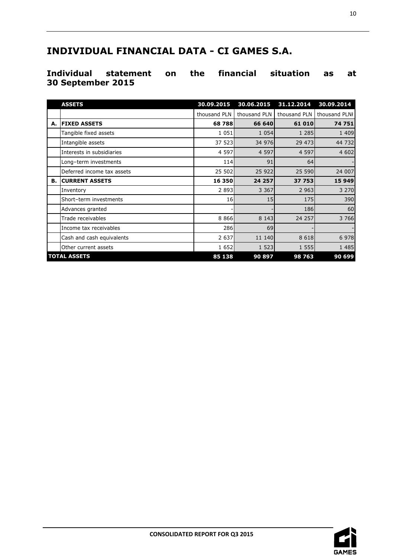# <span id="page-9-0"></span>**INDIVIDUAL FINANCIAL DATA - CI GAMES S.A.**

# <span id="page-9-1"></span>**Individual statement on the financial situation as at 30 September 2015**

|    | <b>ASSETS</b>              | 30.09.2015   | 30.06.2015   | 31.12.2014   | 30.09.2014    |
|----|----------------------------|--------------|--------------|--------------|---------------|
|    |                            | thousand PLN | thousand PLN | thousand PLN | thousand PLNI |
| А. | <b>IFIXED ASSETS</b>       | 68788        | 66 640       | 61 010       | 74 751        |
|    | Tangible fixed assets      | 1 0 5 1      | 1 0 5 4      | 1 2 8 5      | 1 4 0 9       |
|    | Intangible assets          | 37 523       | 34 976       | 29 473       | 44 732        |
|    | Interests in subsidiaries  | 4 5 9 7      | 4 5 9 7      | 4 5 9 7      | 4 602         |
|    | Long-term investments      | 114          | 91           | 64           |               |
|    | Deferred income tax assets | 25 502       | 25 922       | 25 590       | 24 007        |
| В. | <b>CURRENT ASSETS</b>      | 16 350       | 24 257       | 37 753       | 15 949        |
|    | Inventory                  | 2893         | 3 3 6 7      | 2 9 6 3      | 3 2 7 0       |
|    | Short-term investments     | 16           | 15           | 175          | 390           |
|    | Advances granted           |              |              | 186          | 60            |
|    | Trade receivables          | 8866         | 8 1 4 3      | 24 257       | 3 7 6 6       |
|    | Income tax receivables     | 286          | 69           |              |               |
|    | Cash and cash equivalents  | 2 6 3 7      | 11 140       | 8 6 1 8      | 6 9 7 8       |
|    | Other current assets       | 1652         | 1 5 2 3      | 1 5 5 5      | 1 4 8 5       |
|    | <b>TOTAL ASSETS</b>        | 85 138       | 90 897       | 98 763       | 90 699        |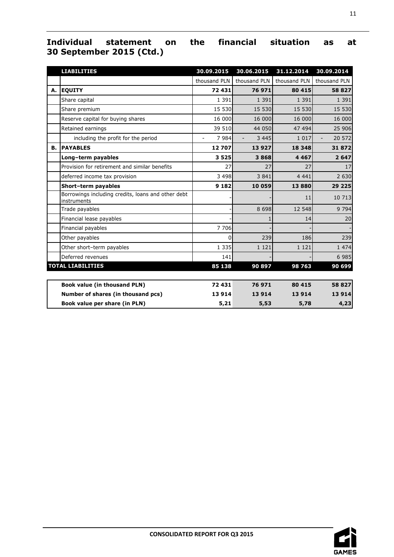# **Individual statement on the financial situation as at 30 September 2015 (Ctd.)**

|    | <b>LIABILITIES</b>                                                | 30.09.2015             | 30.06.2015   | 31.12.2014   | 30.09.2014   |
|----|-------------------------------------------------------------------|------------------------|--------------|--------------|--------------|
|    |                                                                   | thousand PLN           | thousand PLN | thousand PLN | thousand PLN |
| А. | <b>EQUITY</b>                                                     | 72 431                 | 76971        | 80 415       | 58 827       |
|    | Share capital                                                     | 1 3 9 1                | 1 3 9 1      | 1 3 9 1      | 1 3 9 1      |
|    | Share premium                                                     | 15 530                 | 15 530       | 15 530       | 15 530       |
|    | Reserve capital for buying shares                                 | 16 000                 | 16 000       | 16 000       | 16 000       |
|    | Retained earnings                                                 | 39 510                 | 44 050       | 47 494       | 25 906       |
|    | including the profit for the period                               | 7984<br>$\blacksquare$ | 3 4 4 5      | 1 0 1 7      | 20 572       |
| В. | <b>PAYABLES</b>                                                   | 12707                  | 13927        | 18 3 48      | 31872        |
|    | Long-term payables                                                | 3525                   | 3868         | 4 4 6 7      | 2 6 4 7      |
|    | Provision for retirement and similar benefits                     | 27                     | 27           | 27           | 17           |
|    | deferred income tax provision                                     | 3 4 9 8                | 3841         | 4 4 4 1      | 2 6 3 0      |
|    | Short-term payables                                               | 9 1 8 2                | 10 059       | 13880        | 29 2 2 5     |
|    | Borrowings including credits, loans and other debt<br>instruments |                        |              | 11           | 10 713       |
|    | Trade payables                                                    |                        | 8 6 9 8      | 12 548       | 9 7 9 4      |
|    | Financial lease payables                                          |                        | 1            | 14           | 20           |
|    | Financial payables                                                | 7 7 0 6                |              |              |              |
|    | Other payables                                                    | 0                      | 239          | 186          | 239          |
|    | Other short-term payables                                         | 1 3 3 5                | 1 1 2 1      | 1 1 2 1      | 1 4 7 4      |
|    | Deferred revenues                                                 | 141                    |              |              | 6 9 8 5      |
|    | <b>TOTAL LIABILITIES</b>                                          | 85 138                 | 90 897       | 98763        | 90 699       |
|    |                                                                   |                        |              |              |              |
|    | <b>Book value (in thousand PLN)</b>                               | 72 431                 | 76971        | 80 415       | 58 827       |
|    | Number of shares (in thousand pcs)                                | 13 9 14                | 13 9 14      | 13 9 14      | 13914        |
|    | Book value per share (in PLN)                                     | 5,21                   | 5,53         | 5,78         | 4,23         |

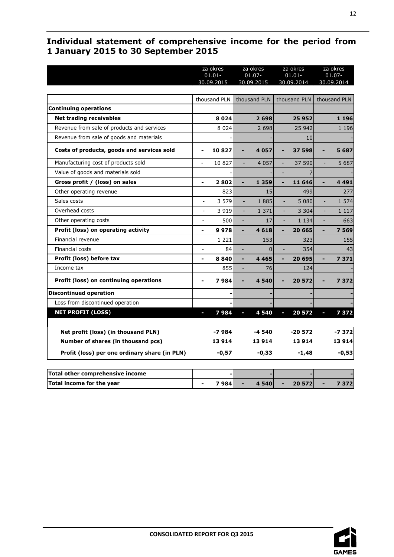# <span id="page-11-0"></span>**Individual statement of comprehensive income for the period from 1 January 2015 to 30 September 2015**

|                                               |                          | za okres     | za okres |              |   | za okres     |    | za okres     |  |
|-----------------------------------------------|--------------------------|--------------|----------|--------------|---|--------------|----|--------------|--|
|                                               |                          | $01.01 -$    |          | $01.07 -$    |   | $01.01 -$    |    | $01.07 -$    |  |
|                                               |                          | 30.09.2015   |          | 30.09.2015   |   | 30.09.2014   |    | 30.09.2014   |  |
|                                               |                          | thousand PLN |          | thousand PLN |   | thousand PLN |    | thousand PLN |  |
| <b>Continuing operations</b>                  |                          |              |          |              |   |              |    |              |  |
| <b>Net trading receivables</b>                |                          | 8024         |          | 2 6 9 8      |   | 25952        |    | 1 1 9 6      |  |
| Revenue from sale of products and services    |                          | 8 0 2 4      |          | 2 6 9 8      |   | 25 942       |    | 1 1 9 6      |  |
| Revenue from sale of goods and materials      |                          |              |          |              |   | 10           |    |              |  |
| Costs of products, goods and services sold    |                          | 10827        |          | 4 0 5 7      |   | 37 598       |    | 5687         |  |
| Manufacturing cost of products sold           |                          | 10 827       | ÷,       | 4 0 5 7      |   | 37 590       | ÷, | 5 687        |  |
| Value of goods and materials sold             |                          |              |          |              |   |              |    |              |  |
| Gross profit / (loss) on sales                | $\overline{\phantom{a}}$ | 2802         | Ξ        | 1 3 5 9      | ٠ | 11 646       | ÷, | 4 4 9 1      |  |
| Other operating revenue                       |                          | 823          |          | 15           |   | 499          |    | 277          |  |
| Sales costs                                   | $\overline{a}$           | 3 5 7 9      |          | 1885         |   | 5 0 8 0      | L. | 1 574        |  |
| Overhead costs                                | $\overline{a}$           | 3 9 1 9      |          | 1 3 7 1      |   | 3 3 0 4      |    | 1 1 1 7      |  |
| Other operating costs                         | $\overline{a}$           | 500          |          | 17           |   | 1 1 3 4      |    | 663          |  |
| Profit (loss) on operating activity           | $\overline{\phantom{0}}$ | 9978         | ÷        | 4618         | ۰ | 20 665       |    | 7 5 6 9      |  |
| Financial revenue                             |                          | 1 2 2 1      |          | 153          |   | 323          |    | 155          |  |
| Financial costs                               |                          | 84           |          | $\Omega$     |   | 354          |    | 43           |  |
| Profit (loss) before tax                      |                          | 8840         |          | 4 4 6 5      |   | 20 695       |    | 7371         |  |
| Income tax                                    |                          | 855          | ٠        | 76           |   | 124          |    |              |  |
| Profit (loss) on continuing operations        |                          | 7984         |          | 4540         |   | 20 572       |    | 7372         |  |
| <b>Discontinued operation</b>                 |                          |              |          |              |   |              |    |              |  |
| Loss from discontinued operation              |                          |              |          |              |   |              |    |              |  |
| <b>NET PROFIT (LOSS)</b>                      |                          | 7984         |          | 4540         |   | 20 572       |    | 7372         |  |
| Net profit (loss) (in thousand PLN)           |                          | $-7984$      |          | -4 540       |   | $-20572$     |    | $-7372$      |  |
| Number of shares (in thousand pcs)            |                          | 13914        |          | 13914        |   | 13914        |    | 13 914       |  |
| Profit (loss) per one ordinary share (in PLN) |                          | $-0,57$      |          | $-0,33$      |   | $-1,48$      |    | $-0,53$      |  |
| Total other comprehensive income              |                          |              |          |              |   |              |    |              |  |
| Total income for the year                     |                          | 7984         |          | 4 540        |   | 20 572       |    | 7 3 7 2      |  |

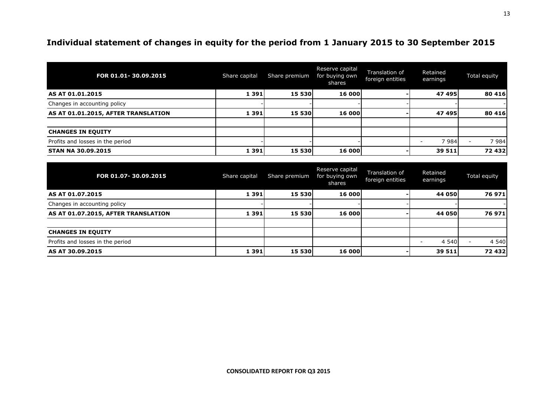# **Individual statement of changes in equity for the period from 1 January 2015 to 30 September 2015**

| FOR 01.01-30.09.2015                | Share capital | Share premium | Reserve capital<br>for buying own<br>shares | Translation of<br>foreign entities | Retained<br>earnings | Total equity |
|-------------------------------------|---------------|---------------|---------------------------------------------|------------------------------------|----------------------|--------------|
| AS AT 01.01.2015                    | 1 3 9 1       | 15 530        | 16 000                                      |                                    | 47 495               | 80 416       |
| Changes in accounting policy        |               |               |                                             |                                    |                      |              |
| AS AT 01.01.2015, AFTER TRANSLATION | 1 3 9 1       | 15 530        | 16 000                                      |                                    | 47 495               | 80 416       |
|                                     |               |               |                                             |                                    |                      |              |
| <b>CHANGES IN EQUITY</b>            |               |               |                                             |                                    |                      |              |
| Profits and losses in the period    |               |               |                                             |                                    | 7 9 8 4              | 7984         |
| <b>STAN NA 30.09.2015</b>           | 1 3 9 1       | 15 530        | 16 000                                      |                                    | 39 511               | 72 432       |

<span id="page-12-0"></span>

| FOR 01.07-30.09.2015                | Share capital | Share premium | Reserve capital<br>for buying own<br>shares | Translation of<br>foreign entities | Retained<br>earnings | Total equity |
|-------------------------------------|---------------|---------------|---------------------------------------------|------------------------------------|----------------------|--------------|
| AS AT 01.07.2015                    | 1 3 9 1       | 15 530        | 16 000                                      |                                    | 44 050               | 76 971       |
| Changes in accounting policy        |               |               |                                             |                                    |                      |              |
| AS AT 01.07.2015, AFTER TRANSLATION | 1 3 9 1       | 15 530        | 16 000                                      |                                    | 44 050               | 76 971       |
|                                     |               |               |                                             |                                    |                      |              |
| <b>CHANGES IN EQUITY</b>            |               |               |                                             |                                    |                      |              |
| Profits and losses in the period    |               |               |                                             |                                    | 4 5 4 0              | 4 5 4 0      |
| AS AT 30.09.2015                    | 1 3 9 1       | 15 530        | 16 000                                      |                                    | 39 511               | 72 432       |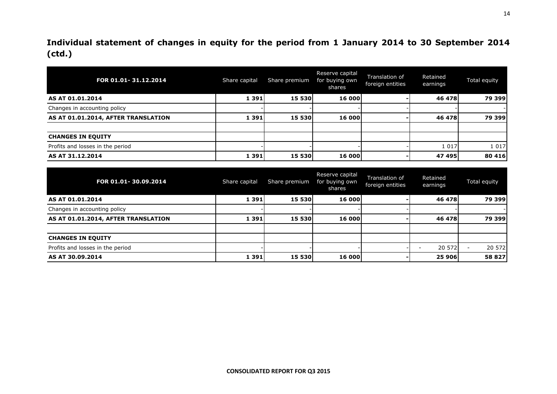**Individual statement of changes in equity for the period from 1 January 2014 to 30 September 2014 (ctd.)**

| FOR 01.01-31.12.2014                | Share capital | Share premium | Reserve capital<br>for buying own<br>shares | Translation of<br>foreign entities | Retained<br>earnings | Total equity |
|-------------------------------------|---------------|---------------|---------------------------------------------|------------------------------------|----------------------|--------------|
| AS AT 01.01.2014                    | 1 3 9 1       | 15 530        | 16 000                                      |                                    | 46 478               | 79 399       |
| Changes in accounting policy        |               |               |                                             |                                    |                      |              |
| AS AT 01.01.2014, AFTER TRANSLATION | 1 3 9 1       | 15 530        | 16 000                                      |                                    | 46 478               | 79 399       |
|                                     |               |               |                                             |                                    |                      |              |
| <b>CHANGES IN EQUITY</b>            |               |               |                                             |                                    |                      |              |
| Profits and losses in the period    |               |               |                                             |                                    | 1 0 1 7              | 1 0 1 7      |
| AS AT 31.12.2014                    | 1 3 9 1       | 15 530        | 16 000                                      |                                    | 47 495               | 80 416       |

| FOR 01.01-30.09.2014                | Share capital | Share premium | Reserve capital<br>for buying own<br>shares | Translation of<br>foreign entities | Retained<br>earnings               | Total equity |
|-------------------------------------|---------------|---------------|---------------------------------------------|------------------------------------|------------------------------------|--------------|
| AS AT 01.01.2014                    | 1 3 9 1       | 15 530        | 16 000                                      |                                    | 46 478                             | 79 399       |
| Changes in accounting policy        |               |               |                                             |                                    |                                    |              |
| AS AT 01.01.2014, AFTER TRANSLATION | 1 3 9 1       | 15 530        | 16 000                                      |                                    | 46 478                             | 79 399       |
|                                     |               |               |                                             |                                    |                                    |              |
| <b>CHANGES IN EQUITY</b>            |               |               |                                             |                                    |                                    |              |
| Profits and losses in the period    |               |               |                                             |                                    | 20 572<br>$\overline{\phantom{a}}$ | 20 572       |
| AS AT 30.09.2014                    | 1 3 9 1       | 15 530        | 16 000                                      |                                    | 25 906                             | 58 827       |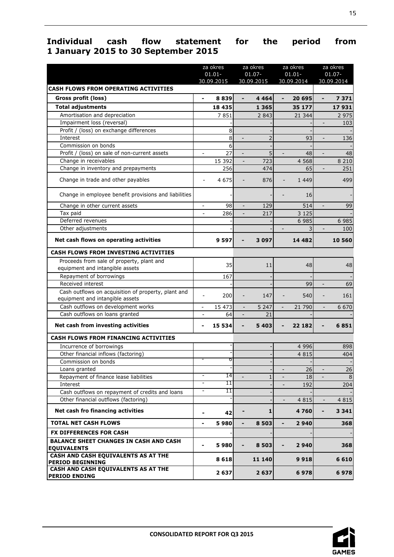# <span id="page-14-0"></span>**Individual cash flow statement for the period from 1 January 2015 to 30 September 2015**

|                                                                                        |                              | za okres<br>$01.01 -$<br>30.09.2015 |                              | za okres<br>$01.07 -$<br>30.09.2015 |                              | za okres<br>$01.01 -$<br>30.09.2014 |                              | za okres<br>$01.07 -$<br>30.09.2014 |
|----------------------------------------------------------------------------------------|------------------------------|-------------------------------------|------------------------------|-------------------------------------|------------------------------|-------------------------------------|------------------------------|-------------------------------------|
| <b>CASH FLOWS FROM OPERATING ACTIVITIES</b>                                            |                              |                                     |                              |                                     |                              |                                     |                              |                                     |
| Gross profit (loss)                                                                    | $\overline{a}$               | 8839                                | $\blacksquare$               | 4 4 6 4                             | $\overline{\phantom{0}}$     | 20 695                              | $\overline{\phantom{0}}$     | 7 3 7 1                             |
| <b>Total adjustments</b>                                                               |                              | 18 4 35                             |                              | 1 3 6 5                             |                              | 35 177                              |                              | 17931                               |
| Amortisation and depreciation                                                          |                              | 7851                                |                              | 2 8 4 3                             |                              | 21 344                              |                              | 2 9 7 5                             |
| Impairment loss (reversal)                                                             |                              |                                     |                              |                                     |                              |                                     | $\overline{a}$               | 103                                 |
| Profit / (loss) on exchange differences                                                |                              | 8                                   |                              |                                     |                              |                                     |                              |                                     |
| Interest                                                                               |                              | 8                                   | $\overline{a}$               | $\overline{2}$                      |                              | 93                                  | $\overline{a}$               | 136                                 |
| Commission on bonds                                                                    |                              | 6                                   |                              |                                     |                              |                                     |                              |                                     |
| Profit / (loss) on sale of non-current assets                                          | $\qquad \qquad \blacksquare$ | 27                                  |                              | 5                                   | $\overline{\phantom{a}}$     | 48                                  | $\qquad \qquad \blacksquare$ | 48                                  |
| Change in receivables                                                                  |                              | 15 392                              |                              | 723                                 |                              | 4 5 6 8                             |                              | 8 2 1 0                             |
| Change in inventory and prepayments                                                    |                              | 256                                 |                              | 474                                 |                              | 65                                  |                              | 251                                 |
| Change in trade and other payables                                                     | $\overline{\phantom{a}}$     | 4 6 7 5                             |                              | 876                                 |                              | 1 4 4 9                             |                              | 499                                 |
| Change in employee benefit provisions and liabilities                                  |                              |                                     |                              |                                     |                              | 16                                  |                              |                                     |
| Change in other current assets                                                         | $\overline{\phantom{a}}$     | 98                                  | $\overline{\phantom{a}}$     | 129                                 |                              | 514                                 | $\overline{a}$               | 99                                  |
| Tax paid                                                                               | $\overline{a}$               | 286                                 |                              | 217                                 |                              | 3 1 2 5                             |                              |                                     |
| Deferred revenues                                                                      |                              |                                     |                              |                                     |                              | 6 9 8 5                             |                              | 6 9 8 5                             |
| Other adjustments                                                                      |                              |                                     |                              |                                     | $\qquad \qquad \blacksquare$ | $\overline{3}$                      | $\qquad \qquad -$            | 100                                 |
| Net cash flows on operating activities                                                 |                              | 9 5 9 7                             |                              | 3 0 9 7                             |                              | 14 482                              |                              | 10 560                              |
| <b>CASH FLOWS FROM INVESTING ACTIVITIES</b>                                            |                              |                                     |                              |                                     |                              |                                     |                              |                                     |
| Proceeds from sale of property, plant and                                              |                              | 35                                  |                              | 11                                  |                              | 48                                  |                              | 48                                  |
| equipment and intangible assets                                                        |                              |                                     |                              |                                     |                              |                                     |                              |                                     |
| Repayment of borrowings                                                                |                              | 167                                 |                              |                                     |                              |                                     |                              |                                     |
| Received interest                                                                      |                              |                                     |                              |                                     |                              | 99                                  |                              | 69                                  |
| Cash outflows on acquisition of property, plant and<br>equipment and intangible assets | $\overline{a}$               | 200                                 |                              | 147                                 |                              | 540                                 |                              | 161                                 |
| Cash outflows on development works                                                     |                              | 15 473                              |                              | 5 2 4 7                             |                              | 21 790                              |                              | 6 6 7 0                             |
| Cash outflows on loans granted                                                         |                              | 64                                  |                              | 21                                  |                              |                                     |                              |                                     |
| Net cash from investing activities                                                     | -                            | 15 534                              | $\qquad \qquad \blacksquare$ | 5 4 0 3                             |                              | 22 182                              |                              | 6851                                |
| <b>CASH FLOWS FROM FINANCING ACTIVITIES</b>                                            |                              |                                     |                              |                                     |                              |                                     |                              |                                     |
| Incurrence of borrowings                                                               |                              |                                     |                              |                                     |                              | 4 9 9 6                             |                              | 898                                 |
| Other financial inflows (factoring)                                                    |                              |                                     |                              |                                     |                              | 4 8 1 5                             |                              | 404                                 |
| Commission on bonds                                                                    |                              | ь                                   |                              |                                     |                              |                                     |                              |                                     |
| Loans granted                                                                          |                              |                                     |                              |                                     |                              | 26                                  |                              | 26                                  |
| Repayment of finance lease liabilities                                                 | $\overline{\phantom{a}}$     | 14                                  |                              | $\mathbf{1}$                        | $\overline{a}$               | 18                                  | ÷.                           | $\,8\,$                             |
| Interest                                                                               | $\overline{\phantom{0}}$     | 11                                  |                              |                                     |                              | 192                                 |                              | 204                                 |
| Cash outflows on repayment of credits and loans                                        | -                            | 11                                  |                              |                                     |                              |                                     |                              |                                     |
| Other financial outflows (factoring)                                                   |                              |                                     |                              |                                     | $\overline{\phantom{a}}$     | 4 8 1 5                             | $\blacksquare$               | 4 8 1 5                             |
| Net cash fro financing activities                                                      |                              | 42                                  |                              | 1                                   |                              | 4760                                |                              | 3 3 4 1                             |
| <b>TOTAL NET CASH FLOWS</b>                                                            | -                            | 5980                                | $\overline{\phantom{a}}$     | 8 5 0 3                             | -                            | 2940                                |                              | 368                                 |
| FX DIFFERENCES FOR CASH                                                                |                              |                                     |                              |                                     |                              |                                     |                              |                                     |
| <b>BALANCE SHEET CHANGES IN CASH AND CASH</b><br><b>EQUIVALENTS</b>                    |                              | 5980                                |                              | 8 5 0 3                             |                              | 2940                                |                              | 368                                 |
| CASH AND CASH EQUIVALENTS AS AT THE<br><b>PERIOD BEGINNING</b>                         |                              | 8618                                |                              | 11 140                              |                              | 9918                                |                              | 6 6 1 0                             |
| CASH AND CASH EQUIVALENTS AS AT THE<br><b>PERIOD ENDING</b>                            |                              | 2637                                |                              | 2637                                |                              | 6978                                |                              | 6978                                |
|                                                                                        |                              |                                     |                              |                                     |                              |                                     |                              |                                     |

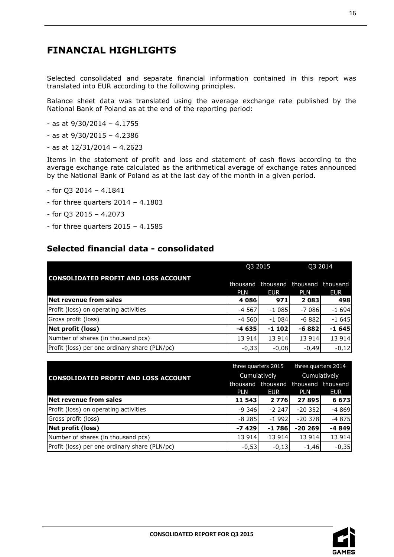# <span id="page-15-0"></span>**FINANCIAL HIGHLIGHTS**

Selected consolidated and separate financial information contained in this report was translated into EUR according to the following principles.

Balance sheet data was translated using the average exchange rate published by the National Bank of Poland as at the end of the reporting period:

- as at 9/30/2014 4.1755
- as at 9/30/2015 4.2386
- as at 12/31/2014 4.2623

Items in the statement of profit and loss and statement of cash flows according to the average exchange rate calculated as the arithmetical average of exchange rates announced by the National Bank of Poland as at the last day of the month in a given period.

- for Q3 2014 4.1841
- for three quarters 2014 4.1803
- for Q3 2015 4.2073
- for three quarters  $2015 4.1585$

# <span id="page-15-1"></span>**Selected financial data - consolidated**

|                                               |            | Q3 2015    | Q3 2014                                           |            |  |
|-----------------------------------------------|------------|------------|---------------------------------------------------|------------|--|
| <b>CONSOLIDATED PROFIT AND LOSS ACCOUNT</b>   | <b>PLN</b> | <b>EUR</b> | thousand thousand thousand thousand<br><b>PLN</b> | <b>EUR</b> |  |
| Net revenue from sales                        | 4 0 8 6 1  | 971        | 2 0 8 3 1                                         | 498        |  |
| Profit (loss) on operating activities         | $-4567$    | $-1085$    | $-7086$                                           | $-1694$    |  |
| Gross profit (loss)                           | $-4560$    | $-1084$    | $-6882$                                           | $-1645$    |  |
| Net profit (loss)                             | $-4635$    | $-1$ 102   | $-6882$                                           | $-1645$    |  |
| Number of shares (in thousand pcs)            | 13 914     | 13 9 14    | 13 914                                            | 13 914     |  |
| Profit (loss) per one ordinary share (PLN/pc) | $-0,33$    | $-0,08$    | $-0,49$                                           | $-0,12$    |  |

|                                               |            | three quarters 2015 | three quarters 2014 |            |  |
|-----------------------------------------------|------------|---------------------|---------------------|------------|--|
| <b>CONSOLIDATED PROFIT AND LOSS ACCOUNT</b>   |            | Cumulatively        | Cumulatively        |            |  |
|                                               |            | thousand thousand   | thousand thousand   |            |  |
|                                               | <b>PLN</b> | <b>EUR</b>          | <b>PLN</b>          | <b>EUR</b> |  |
| Net revenue from sales                        | 11 543     | 2 7 7 6 1           | 27 895              | 6 6 7 3    |  |
| Profit (loss) on operating activities         | $-9346$    | $-2247$             | $-20352$            | $-4869$    |  |
| Gross profit (loss)                           | $-8285$    | $-1992$             | $-20378$            | $-4875$    |  |
| Net profit (loss)                             | -7 429     | -1 786              | $-20269$            | $-4849$    |  |
| Number of shares (in thousand pcs)            | 13 914     | 13 914              | 13 914              | 13 914     |  |
| Profit (loss) per one ordinary share (PLN/pc) | $-0,53$    | $-0,13$             | $-1,46$             | $-0,35$    |  |



16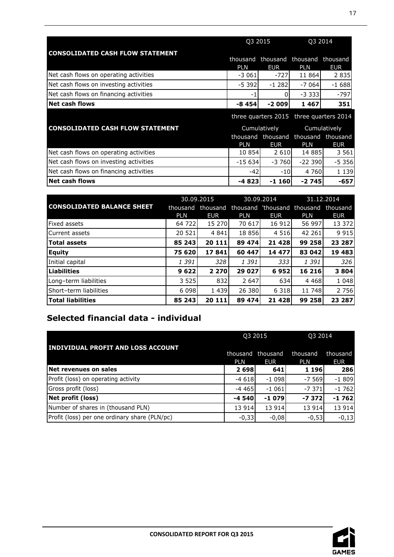|                                         | Q3 2015                     |            | Q3 2014                                  |            |
|-----------------------------------------|-----------------------------|------------|------------------------------------------|------------|
| <b>CONSOLIDATED CASH FLOW STATEMENT</b> | thousand<br><b>PLN</b>      | <b>EUR</b> | thousand thousand thousand<br><b>PLN</b> | <b>EUR</b> |
| Net cash flows on operating activities  | $-3061$                     | $-727$     | 11 864                                   | 2 8 3 5    |
| Net cash flows on investing activities  | $-5.392$                    | $-1282$    | $-7064$                                  | $-1688$    |
| Net cash flows on financing activities  | -1                          | O.         | $-3.333$                                 | $-797$     |
| <b>Net cash flows</b>                   | $-8454$                     | $-2009$    | 1467                                     | 351        |
|                                         |                             |            | three quarters 2015 three quarters 2014  |            |
| <b>CONSOLIDATED CASH FLOW STATEMENT</b> | Cumulatively                |            | Cumulatively                             |            |
|                                         |                             |            | thousand thousand thousand thousand      |            |
|                                         | <b>PLN</b>                  | <b>EUR</b> | <b>PLN</b>                               | <b>EUR</b> |
| Net cash flows on operating activities  | 10 854                      | 2 6 1 0    | 14 885                                   | 3 5 6 1    |
| Net cash flows on investing activities  | $-15634$                    | $-3760$    | $-22390$                                 | $-5.356$   |
| Net cash flows on financing activities  | $-42$                       | $-10$      | 4 760                                    | 1 1 3 9    |
| <b>Net cash flows</b>                   | -4 823<br>$-2745$<br>-1 160 |            | -657                                     |            |

|                                   | 30.09.2015 |            | 30.09.2014 |            | 31.12.2014                           |            |
|-----------------------------------|------------|------------|------------|------------|--------------------------------------|------------|
| <b>CONSOLIDATED BALANCE SHEET</b> | thousand   | thousand   |            |            | thousand 'thousand thousand thousand |            |
|                                   | <b>PLN</b> | <b>EUR</b> | <b>PLN</b> | <b>EUR</b> | <b>PLN</b>                           | <b>EUR</b> |
| Fixed assets                      | 64 722     | 15 270     | 70 617     | 16 912     | 56 997                               | 13 372     |
| Current assets                    | 20 5 21    | 4 8 4 1    | 18 8 5 6   | 4 5 1 6    | 42 261                               | 9 9 1 5    |
| <b>Total assets</b>               | 85 243     | 20 111     | 89 474     | 21 4 28    | 99 258                               | 23 287     |
| <b>Equity</b>                     | 75 620     | 17841      | 60 447     | 14 477     | 83 042                               | 19 483     |
| Initial capital                   | 1 391      | 328        | 1 3 9 1    | 333        | 1 3 9 1                              | 326        |
| <b>Liabilities</b>                | 9622       | 2 2 7 0    | 29 027     | 6952       | 16 216                               | 3804       |
| Long-term liabilities             | 3 5 2 5    | 832        | 2 6 4 7    | 634        | 4 4 6 8                              | 1 0 4 8    |
| Short-term liabilities            | 6 0 9 8    | 1 4 3 9    | 26 380     | 6 3 1 8    | 11 748                               | 2 7 5 6    |
| <b>Total liabilities</b>          | 85 243     | 20 111     | 89 474     | 21 4 28    | 99 258                               | 23 287     |

# <span id="page-16-0"></span>**Selected financial data - individual**

|                                               |                        | Q3 2015                | Q3 2014                |                        |
|-----------------------------------------------|------------------------|------------------------|------------------------|------------------------|
| <b>INDIVIDUAL PROFIT AND LOSS ACCOUNT</b>     | thousand<br><b>PLN</b> | thousand<br><b>EUR</b> | thousand<br><b>PLN</b> | thousand<br><b>EUR</b> |
| Net revenues on sales                         | 2 6 9 8                | 641l                   | <b>1</b> 196           | 286                    |
| Profit (loss) on operating activity           | $-4618$                | $-1098$                | $-7569$                | $-1809$                |
| Gross profit (loss)                           | $-4465$                | $-1061$                | -73711                 | $-1762$                |
| Net profit (loss)                             | $-4540$                | $-1079$                | $-7372$                | $-1762$                |
| Number of shares in (thousand PLN)            | 13 914                 | 13 9 14                | 13 914                 | 13 914                 |
| Profit (loss) per one ordinary share (PLN/pc) | $-0,33$                | $-0,08$                | $-0,53$                | $-0,13$                |

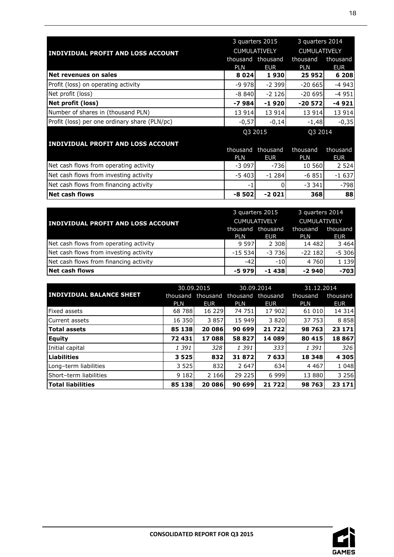|                                               |            | 3 quarters 2015     |            | 3 quarters 2014     |  |
|-----------------------------------------------|------------|---------------------|------------|---------------------|--|
| <b>INDIVIDUAL PROFIT AND LOSS ACCOUNT</b>     |            | <b>CUMULATIVELY</b> |            | <b>CUMULATIVELY</b> |  |
|                                               | thousand   | thousand            | thousand   | thousand            |  |
|                                               | <b>PLN</b> | <b>EUR</b>          | PLN        | EUR                 |  |
| Net revenues on sales                         | 8 0 2 4    | 1930                | 25 952     | 6 208               |  |
| Profit (loss) on operating activity           | $-9978$    | $-2.399$            | $-20665$   | $-4943$             |  |
| Net profit (loss)                             | $-8840$    | $-2126$             | $-20695$   | $-4951$             |  |
| Net profit (loss)                             | $-7984$    | $-1920$             | $-20572$   | $-4921$             |  |
| Number of shares in (thousand PLN)            | 13 914     | 13 9 14             | 13 914     | 13 914              |  |
| Profit (loss) per one ordinary share (PLN/pc) | $-0,57$    | $-0,14$             | $-1,48$    | $-0,35$             |  |
|                                               |            | Q3 2015             | Q3 2014    |                     |  |
| <b>INDIVIDUAL PROFIT AND LOSS ACCOUNT</b>     |            |                     |            |                     |  |
|                                               | thousand   | thousand            | thousand   | thousand            |  |
|                                               | <b>PLN</b> | <b>EUR</b>          | <b>PLN</b> | <b>EUR</b>          |  |
| $Mot$ cash flows from operating activity      | ודחח כ     | コつぐ                 | 10 $ECM$   | וגרם ב              |  |

|                                        | PI N    | <b>EUR</b> | PI N     | <b>EUR</b> |
|----------------------------------------|---------|------------|----------|------------|
| Net cash flows from operating activity | $-3097$ | $-736$     | 10 560   | 2 5 2 4    |
| Net cash flows from investing activity | $-5403$ | $-1, 284$  | $-6851$  | $-1637$    |
| Net cash flows from financing activity |         |            | $-3.341$ | $-798$     |
| <b>Net cash flows</b>                  | $-8502$ | $-2021$    | 368      | 88         |

|                                           |                     | 3 quarters 2015 |                     | 3 quarters 2014 |  |
|-------------------------------------------|---------------------|-----------------|---------------------|-----------------|--|
| <b>INDIVIDUAL PROFIT AND LOSS ACCOUNT</b> | <b>CUMULATIVELY</b> |                 | <b>CUMULATIVELY</b> |                 |  |
|                                           | thousand            | thousand        | thousand            | thousand        |  |
|                                           | <b>PLN</b>          | <b>EUR</b>      | <b>PLN</b>          | EUR <b>I</b>    |  |
| Net cash flows from operating activity    | 9 597               | 2 3 0 8         | 14 482              | 3 4 6 4         |  |
| Net cash flows from investing activity    | $-15534$            | $-3736$         | $-22182$            | $-5306$         |  |
| Net cash flows from financing activity    | $-42$               | $-10$           | 4 7 6 0             | 1 1 3 9         |  |
| <b>Net cash flows</b>                     | $-5979$             | $-1438$         | $-2940$             | $-703$          |  |

|                                 | 30.09.2015 |            | 30.09.2014 |            | 31.12.2014 |            |
|---------------------------------|------------|------------|------------|------------|------------|------------|
| <b>INDIVIDUAL BALANCE SHEET</b> | thousand   | thousand   | thousand   | thousand   | thousand   | thousand   |
|                                 | <b>PLN</b> | <b>EUR</b> | <b>PLN</b> | <b>EUR</b> | <b>PLN</b> | <b>EUR</b> |
| <b>Fixed assets</b>             | 68 788     | 16 229     | 74 751     | 17 902     | 61 010     | 14 3 14    |
| <b>Current assets</b>           | 16 350     | 3 8 5 7    | 15 949     | 3 8 2 0 1  | 37 753     | 8858       |
| Total assets                    | 85 138     | 20 086     | 90 699     | 21 722     | 98 763     | 23 171     |
| <b>Equity</b>                   | 72 431     | 17 088     | 58 827     | 14 089     | 80 415     | 18867      |
| Initial capital                 | 1 391      | 328 l      | 1 391      | 333        | 1 391      | 326        |
| <b>Liabilities</b>              | 3 5 2 5    | 832        | 31872      | 7 633      | 18 348     | 4 3 0 5    |
| Long-term liabilities           | 3 5 2 5    | 832        | 2 6 4 7    | 634        | 4 4 6 7    | 1 0 4 8    |
| Short-term liabilities          | 9 1 8 2    | 2 1 6 6    | 29 225     | 6 9 9 9    | 13 880     | 3 2 5 6    |
| <b>Total liabilities</b>        | 85 138     | 20 086     | 90 699     | 21 7 22    | 98 763     | 23 171     |

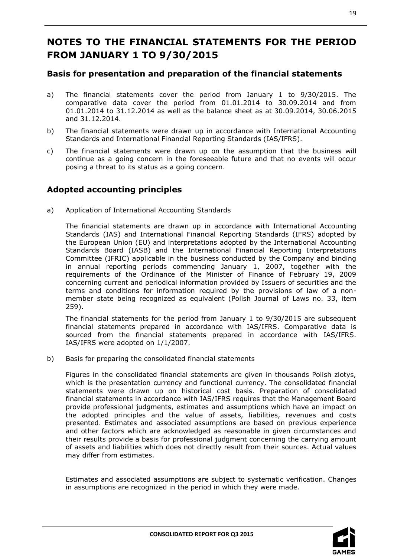# **NOTES TO THE FINANCIAL STATEMENTS FOR THE PERIOD FROM JANUARY 1 TO 9/30/2015**

# <span id="page-18-0"></span>**Basis for presentation and preparation of the financial statements**

- a) The financial statements cover the period from January 1 to 9/30/2015. The comparative data cover the period from 01.01.2014 to 30.09.2014 and from 01.01.2014 to 31.12.2014 as well as the balance sheet as at 30.09.2014, 30.06.2015 and 31.12.2014.
- b) The financial statements were drawn up in accordance with International Accounting Standards and International Financial Reporting Standards (IAS/IFRS).
- c) The financial statements were drawn up on the assumption that the business will continue as a going concern in the foreseeable future and that no events will occur posing a threat to its status as a going concern.

# <span id="page-18-1"></span>**Adopted accounting principles**

a) Application of International Accounting Standards

The financial statements are drawn up in accordance with International Accounting Standards (IAS) and International Financial Reporting Standards (IFRS) adopted by the European Union (EU) and interpretations adopted by the International Accounting Standards Board (IASB) and the International Financial Reporting Interpretations Committee (IFRIC) applicable in the business conducted by the Company and binding in annual reporting periods commencing January 1, 2007, together with the requirements of the Ordinance of the Minister of Finance of February 19, 2009 concerning current and periodical information provided by Issuers of securities and the terms and conditions for information required by the provisions of law of a nonmember state being recognized as equivalent (Polish Journal of Laws no. 33, item 259).

The financial statements for the period from January 1 to 9/30/2015 are subsequent financial statements prepared in accordance with IAS/IFRS. Comparative data is sourced from the financial statements prepared in accordance with IAS/IFRS. IAS/IFRS were adopted on 1/1/2007.

b) Basis for preparing the consolidated financial statements

Figures in the consolidated financial statements are given in thousands Polish zlotys, which is the presentation currency and functional currency. The consolidated financial statements were drawn up on historical cost basis. Preparation of consolidated financial statements in accordance with IAS/IFRS requires that the Management Board provide professional judgments, estimates and assumptions which have an impact on the adopted principles and the value of assets, liabilities, revenues and costs presented. Estimates and associated assumptions are based on previous experience and other factors which are acknowledged as reasonable in given circumstances and their results provide a basis for professional judgment concerning the carrying amount of assets and liabilities which does not directly result from their sources. Actual values may differ from estimates.

Estimates and associated assumptions are subject to systematic verification. Changes in assumptions are recognized in the period in which they were made.

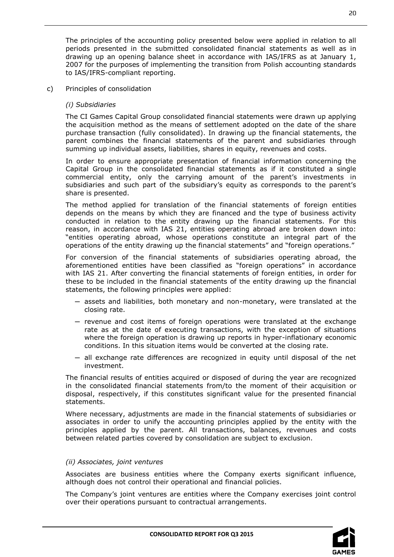The principles of the accounting policy presented below were applied in relation to all periods presented in the submitted consolidated financial statements as well as in drawing up an opening balance sheet in accordance with IAS/IFRS as at January 1, 2007 for the purposes of implementing the transition from Polish accounting standards to IAS/IFRS-compliant reporting.

#### c) Principles of consolidation

#### *(i) Subsidiaries*

The CI Games Capital Group consolidated financial statements were drawn up applying the acquisition method as the means of settlement adopted on the date of the share purchase transaction (fully consolidated). In drawing up the financial statements, the parent combines the financial statements of the parent and subsidiaries through summing up individual assets, liabilities, shares in equity, revenues and costs.

In order to ensure appropriate presentation of financial information concerning the Capital Group in the consolidated financial statements as if it constituted a single commercial entity, only the carrying amount of the parent's investments in subsidiaries and such part of the subsidiary's equity as corresponds to the parent's share is presented.

The method applied for translation of the financial statements of foreign entities depends on the means by which they are financed and the type of business activity conducted in relation to the entity drawing up the financial statements. For this reason, in accordance with IAS 21, entities operating abroad are broken down into: "entities operating abroad, whose operations constitute an integral part of the operations of the entity drawing up the financial statements" and "foreign operations."

For conversion of the financial statements of subsidiaries operating abroad, the aforementioned entities have been classified as "foreign operations" in accordance with IAS 21. After converting the financial statements of foreign entities, in order for these to be included in the financial statements of the entity drawing up the financial statements, the following principles were applied:

- ─ assets and liabilities, both monetary and non-monetary, were translated at the closing rate.
- ─ revenue and cost items of foreign operations were translated at the exchange rate as at the date of executing transactions, with the exception of situations where the foreign operation is drawing up reports in hyper-inflationary economic conditions. In this situation items would be converted at the closing rate.
- ─ all exchange rate differences are recognized in equity until disposal of the net investment.

The financial results of entities acquired or disposed of during the year are recognized in the consolidated financial statements from/to the moment of their acquisition or disposal, respectively, if this constitutes significant value for the presented financial statements.

Where necessary, adjustments are made in the financial statements of subsidiaries or associates in order to unify the accounting principles applied by the entity with the principles applied by the parent. All transactions, balances, revenues and costs between related parties covered by consolidation are subject to exclusion.

#### *(ii) Associates, joint ventures*

Associates are business entities where the Company exerts significant influence, although does not control their operational and financial policies.

The Company's joint ventures are entities where the Company exercises joint control over their operations pursuant to contractual arrangements.

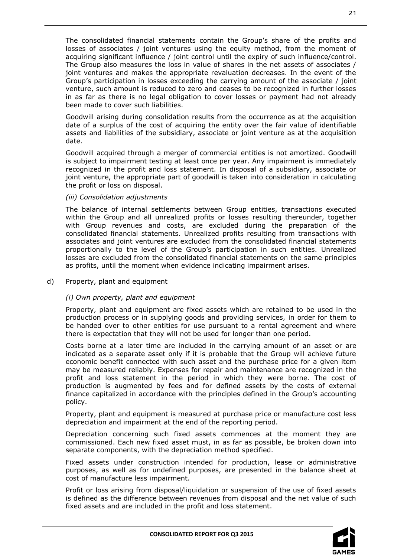The consolidated financial statements contain the Group's share of the profits and losses of associates / joint ventures using the equity method, from the moment of acquiring significant influence / joint control until the expiry of such influence/control. The Group also measures the loss in value of shares in the net assets of associates / joint ventures and makes the appropriate revaluation decreases. In the event of the Group's participation in losses exceeding the carrying amount of the associate / joint venture, such amount is reduced to zero and ceases to be recognized in further losses in as far as there is no legal obligation to cover losses or payment had not already been made to cover such liabilities.

Goodwill arising during consolidation results from the occurrence as at the acquisition date of a surplus of the cost of acquiring the entity over the fair value of identifiable assets and liabilities of the subsidiary, associate or joint venture as at the acquisition date.

Goodwill acquired through a merger of commercial entities is not amortized. Goodwill is subject to impairment testing at least once per year. Any impairment is immediately recognized in the profit and loss statement. In disposal of a subsidiary, associate or joint venture, the appropriate part of goodwill is taken into consideration in calculating the profit or loss on disposal.

#### *(iii) Consolidation adjustments*

The balance of internal settlements between Group entities, transactions executed within the Group and all unrealized profits or losses resulting thereunder, together with Group revenues and costs, are excluded during the preparation of the consolidated financial statements. Unrealized profits resulting from transactions with associates and joint ventures are excluded from the consolidated financial statements proportionally to the level of the Group's participation in such entities. Unrealized losses are excluded from the consolidated financial statements on the same principles as profits, until the moment when evidence indicating impairment arises.

#### d) Property, plant and equipment

#### *(i) Own property, plant and equipment*

Property, plant and equipment are fixed assets which are retained to be used in the production process or in supplying goods and providing services, in order for them to be handed over to other entities for use pursuant to a rental agreement and where there is expectation that they will not be used for longer than one period.

Costs borne at a later time are included in the carrying amount of an asset or are indicated as a separate asset only if it is probable that the Group will achieve future economic benefit connected with such asset and the purchase price for a given item may be measured reliably. Expenses for repair and maintenance are recognized in the profit and loss statement in the period in which they were borne. The cost of production is augmented by fees and for defined assets by the costs of external finance capitalized in accordance with the principles defined in the Group's accounting policy.

Property, plant and equipment is measured at purchase price or manufacture cost less depreciation and impairment at the end of the reporting period.

Depreciation concerning such fixed assets commences at the moment they are commissioned. Each new fixed asset must, in as far as possible, be broken down into separate components, with the depreciation method specified.

Fixed assets under construction intended for production, lease or administrative purposes, as well as for undefined purposes, are presented in the balance sheet at cost of manufacture less impairment.

Profit or loss arising from disposal/liquidation or suspension of the use of fixed assets is defined as the difference between revenues from disposal and the net value of such fixed assets and are included in the profit and loss statement.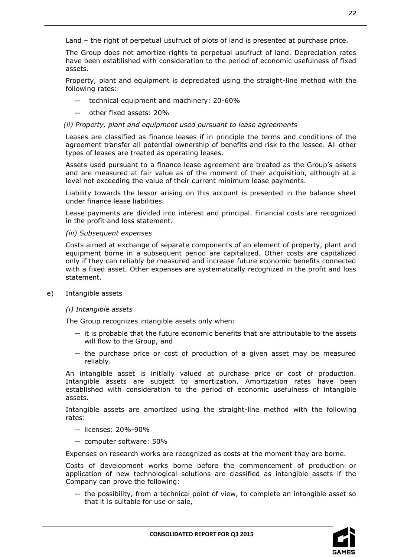Land – the right of perpetual usufruct of plots of land is presented at purchase price.

The Group does not amortize rights to perpetual usufruct of land. Depreciation rates have been established with consideration to the period of economic usefulness of fixed assets.

Property, plant and equipment is depreciated using the straight-line method with the following rates:

- technical equipment and machinery: 20-60%
- other fixed assets: 20%

#### *(ii) Property, plant and equipment used pursuant to lease agreements*

Leases are classified as finance leases if in principle the terms and conditions of the agreement transfer all potential ownership of benefits and risk to the lessee. All other types of leases are treated as operating leases.

Assets used pursuant to a finance lease agreement are treated as the Group's assets and are measured at fair value as of the moment of their acquisition, although at a level not exceeding the value of their current minimum lease payments.

Liability towards the lessor arising on this account is presented in the balance sheet under finance lease liabilities.

Lease payments are divided into interest and principal. Financial costs are recognized in the profit and loss statement.

#### *(iii) Subsequent expenses*

Costs aimed at exchange of separate components of an element of property, plant and equipment borne in a subsequent period are capitalized. Other costs are capitalized only if they can reliably be measured and increase future economic benefits connected with a fixed asset. Other expenses are systematically recognized in the profit and loss statement.

e) Intangible assets

# *(i) Intangible assets*

The Group recognizes intangible assets only when:

- $-$  it is probable that the future economic benefits that are attributable to the assets will flow to the Group, and
- ─ the purchase price or cost of production of a given asset may be measured reliably.

An intangible asset is initially valued at purchase price or cost of production. Intangible assets are subject to amortization. Amortization rates have been established with consideration to the period of economic usefulness of intangible assets.

Intangible assets are amortized using the straight-line method with the following rates:

- ─ licenses: 20%-90%
- ─ computer software: 50%

Expenses on research works are recognized as costs at the moment they are borne.

Costs of development works borne before the commencement of production or application of new technological solutions are classified as intangible assets if the Company can prove the following:

 $-$  the possibility, from a technical point of view, to complete an intangible asset so that it is suitable for use or sale,

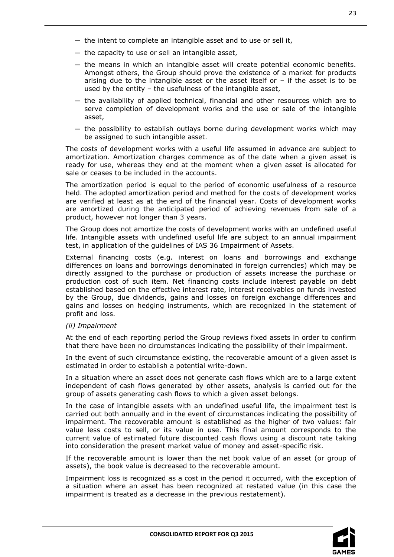- ─ the intent to complete an intangible asset and to use or sell it,
- ─ the capacity to use or sell an intangible asset,
- ─ the means in which an intangible asset will create potential economic benefits. Amongst others, the Group should prove the existence of a market for products arising due to the intangible asset or the asset itself or  $-$  if the asset is to be used by the entity – the usefulness of the intangible asset,
- ─ the availability of applied technical, financial and other resources which are to serve completion of development works and the use or sale of the intangible asset,
- $-$  the possibility to establish outlays borne during development works which may be assigned to such intangible asset.

The costs of development works with a useful life assumed in advance are subject to amortization. Amortization charges commence as of the date when a given asset is ready for use, whereas they end at the moment when a given asset is allocated for sale or ceases to be included in the accounts.

The amortization period is equal to the period of economic usefulness of a resource held. The adopted amortization period and method for the costs of development works are verified at least as at the end of the financial year. Costs of development works are amortized during the anticipated period of achieving revenues from sale of a product, however not longer than 3 years.

The Group does not amortize the costs of development works with an undefined useful life. Intangible assets with undefined useful life are subject to an annual impairment test, in application of the guidelines of IAS 36 Impairment of Assets.

External financing costs (e.g. interest on loans and borrowings and exchange differences on loans and borrowings denominated in foreign currencies) which may be directly assigned to the purchase or production of assets increase the purchase or production cost of such item. Net financing costs include interest payable on debt established based on the effective interest rate, interest receivables on funds invested by the Group, due dividends, gains and losses on foreign exchange differences and gains and losses on hedging instruments, which are recognized in the statement of profit and loss.

#### *(ii) Impairment*

At the end of each reporting period the Group reviews fixed assets in order to confirm that there have been no circumstances indicating the possibility of their impairment.

In the event of such circumstance existing, the recoverable amount of a given asset is estimated in order to establish a potential write-down.

In a situation where an asset does not generate cash flows which are to a large extent independent of cash flows generated by other assets, analysis is carried out for the group of assets generating cash flows to which a given asset belongs.

In the case of intangible assets with an undefined useful life, the impairment test is carried out both annually and in the event of circumstances indicating the possibility of impairment. The recoverable amount is established as the higher of two values: fair value less costs to sell, or its value in use. This final amount corresponds to the current value of estimated future discounted cash flows using a discount rate taking into consideration the present market value of money and asset-specific risk.

If the recoverable amount is lower than the net book value of an asset (or group of assets), the book value is decreased to the recoverable amount.

Impairment loss is recognized as a cost in the period it occurred, with the exception of a situation where an asset has been recognized at restated value (in this case the impairment is treated as a decrease in the previous restatement).

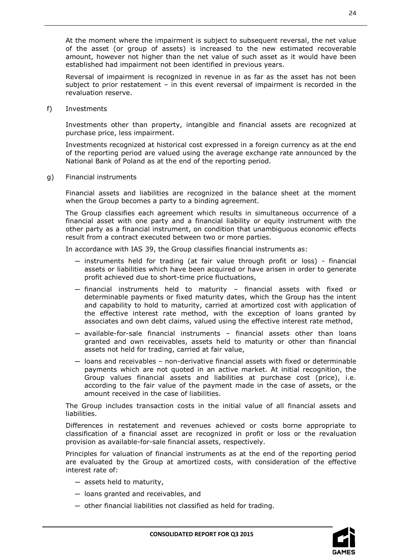At the moment where the impairment is subject to subsequent reversal, the net value of the asset (or group of assets) is increased to the new estimated recoverable amount, however not higher than the net value of such asset as it would have been established had impairment not been identified in previous years.

Reversal of impairment is recognized in revenue in as far as the asset has not been subject to prior restatement – in this event reversal of impairment is recorded in the revaluation reserve.

f) Investments

Investments other than property, intangible and financial assets are recognized at purchase price, less impairment.

Investments recognized at historical cost expressed in a foreign currency as at the end of the reporting period are valued using the average exchange rate announced by the National Bank of Poland as at the end of the reporting period.

g) Financial instruments

Financial assets and liabilities are recognized in the balance sheet at the moment when the Group becomes a party to a binding agreement.

The Group classifies each agreement which results in simultaneous occurrence of a financial asset with one party and a financial liability or equity instrument with the other party as a financial instrument, on condition that unambiguous economic effects result from a contract executed between two or more parties.

In accordance with IAS 39, the Group classifies financial instruments as:

- ─ instruments held for trading (at fair value through profit or loss) financial assets or liabilities which have been acquired or have arisen in order to generate profit achieved due to short-time price fluctuations,
- ─ financial instruments held to maturity financial assets with fixed or determinable payments or fixed maturity dates, which the Group has the intent and capability to hold to maturity, carried at amortized cost with application of the effective interest rate method, with the exception of loans granted by associates and own debt claims, valued using the effective interest rate method,
- ─ available-for-sale financial instruments financial assets other than loans granted and own receivables, assets held to maturity or other than financial assets not held for trading, carried at fair value,
- $-$  loans and receivables non-derivative financial assets with fixed or determinable payments which are not quoted in an active market. At initial recognition, the Group values financial assets and liabilities at purchase cost (price), i.e. according to the fair value of the payment made in the case of assets, or the amount received in the case of liabilities.

The Group includes transaction costs in the initial value of all financial assets and liabilities.

Differences in restatement and revenues achieved or costs borne appropriate to classification of a financial asset are recognized in profit or loss or the revaluation provision as available-for-sale financial assets, respectively.

Principles for valuation of financial instruments as at the end of the reporting period are evaluated by the Group at amortized costs, with consideration of the effective interest rate of:

- ─ assets held to maturity,
- ─ loans granted and receivables, and
- ─ other financial liabilities not classified as held for trading.

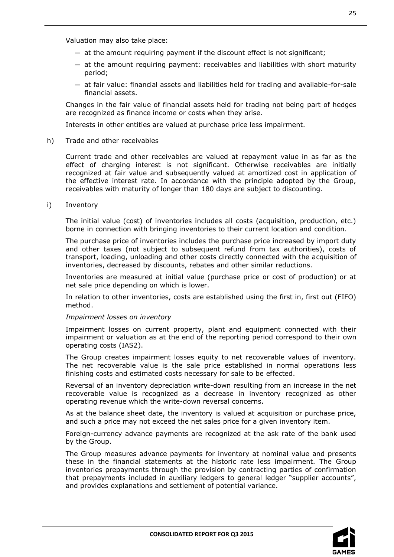Valuation may also take place:

- $-$  at the amount requiring payment if the discount effect is not significant;
- ─ at the amount requiring payment: receivables and liabilities with short maturity period;
- ─ at fair value: financial assets and liabilities held for trading and available-for-sale financial assets.

Changes in the fair value of financial assets held for trading not being part of hedges are recognized as finance income or costs when they arise.

Interests in other entities are valued at purchase price less impairment.

h) Trade and other receivables

Current trade and other receivables are valued at repayment value in as far as the effect of charging interest is not significant. Otherwise receivables are initially recognized at fair value and subsequently valued at amortized cost in application of the effective interest rate. In accordance with the principle adopted by the Group, receivables with maturity of longer than 180 days are subject to discounting.

i) Inventory

The initial value (cost) of inventories includes all costs (acquisition, production, etc.) borne in connection with bringing inventories to their current location and condition.

The purchase price of inventories includes the purchase price increased by import duty and other taxes (not subject to subsequent refund from tax authorities), costs of transport, loading, unloading and other costs directly connected with the acquisition of inventories, decreased by discounts, rebates and other similar reductions.

Inventories are measured at initial value (purchase price or cost of production) or at net sale price depending on which is lower.

In relation to other inventories, costs are established using the first in, first out (FIFO) method.

#### *Impairment losses on inventory*

Impairment losses on current property, plant and equipment connected with their impairment or valuation as at the end of the reporting period correspond to their own operating costs (IAS2).

The Group creates impairment losses equity to net recoverable values of inventory. The net recoverable value is the sale price established in normal operations less finishing costs and estimated costs necessary for sale to be effected.

Reversal of an inventory depreciation write-down resulting from an increase in the net recoverable value is recognized as a decrease in inventory recognized as other operating revenue which the write-down reversal concerns.

As at the balance sheet date, the inventory is valued at acquisition or purchase price, and such a price may not exceed the net sales price for a given inventory item.

Foreign-currency advance payments are recognized at the ask rate of the bank used by the Group.

The Group measures advance payments for inventory at nominal value and presents these in the financial statements at the historic rate less impairment. The Group inventories prepayments through the provision by contracting parties of confirmation that prepayments included in auxiliary ledgers to general ledger "supplier accounts", and provides explanations and settlement of potential variance.

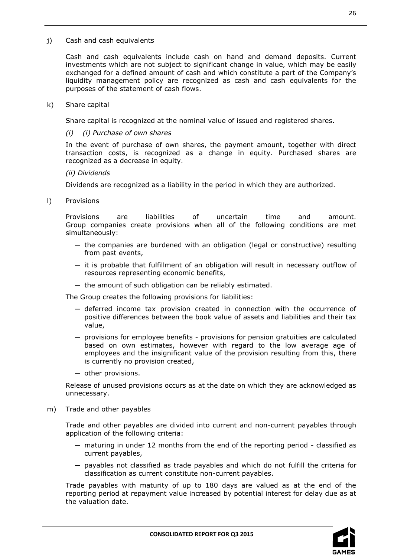Cash and cash equivalents include cash on hand and demand deposits. Current investments which are not subject to significant change in value, which may be easily exchanged for a defined amount of cash and which constitute a part of the Company's liquidity management policy are recognized as cash and cash equivalents for the purposes of the statement of cash flows.

k) Share capital

Share capital is recognized at the nominal value of issued and registered shares.

*(i) (i) Purchase of own shares*

In the event of purchase of own shares, the payment amount, together with direct transaction costs, is recognized as a change in equity. Purchased shares are recognized as a decrease in equity.

*(ii) Dividends*

Dividends are recognized as a liability in the period in which they are authorized.

l) Provisions

Provisions are liabilities of uncertain time and amount. Group companies create provisions when all of the following conditions are met simultaneously:

- $-$  the companies are burdened with an obligation (legal or constructive) resulting from past events,
- $-$  it is probable that fulfillment of an obligation will result in necessary outflow of resources representing economic benefits,
- ─ the amount of such obligation can be reliably estimated.

The Group creates the following provisions for liabilities:

- ─ deferred income tax provision created in connection with the occurrence of positive differences between the book value of assets and liabilities and their tax value,
- ─ provisions for employee benefits provisions for pension gratuities are calculated based on own estimates, however with regard to the low average age of employees and the insignificant value of the provision resulting from this, there is currently no provision created,
- ─ other provisions.

Release of unused provisions occurs as at the date on which they are acknowledged as unnecessary.

m) Trade and other payables

Trade and other payables are divided into current and non-current payables through application of the following criteria:

- ─ maturing in under 12 months from the end of the reporting period classified as current payables,
- ─ payables not classified as trade payables and which do not fulfill the criteria for classification as current constitute non-current payables.

Trade payables with maturity of up to 180 days are valued as at the end of the reporting period at repayment value increased by potential interest for delay due as at the valuation date.

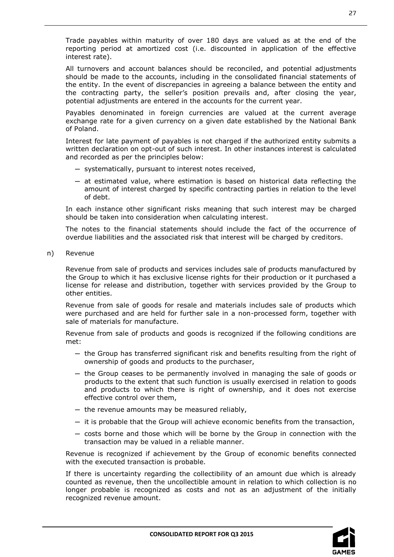Trade payables within maturity of over 180 days are valued as at the end of the reporting period at amortized cost (i.e. discounted in application of the effective interest rate).

All turnovers and account balances should be reconciled, and potential adjustments should be made to the accounts, including in the consolidated financial statements of the entity. In the event of discrepancies in agreeing a balance between the entity and the contracting party, the seller's position prevails and, after closing the year, potential adjustments are entered in the accounts for the current year.

Payables denominated in foreign currencies are valued at the current average exchange rate for a given currency on a given date established by the National Bank of Poland.

Interest for late payment of payables is not charged if the authorized entity submits a written declaration on opt-out of such interest. In other instances interest is calculated and recorded as per the principles below:

- ─ systematically, pursuant to interest notes received,
- ─ at estimated value, where estimation is based on historical data reflecting the amount of interest charged by specific contracting parties in relation to the level of debt.

In each instance other significant risks meaning that such interest may be charged should be taken into consideration when calculating interest.

The notes to the financial statements should include the fact of the occurrence of overdue liabilities and the associated risk that interest will be charged by creditors.

n) Revenue

Revenue from sale of products and services includes sale of products manufactured by the Group to which it has exclusive license rights for their production or it purchased a license for release and distribution, together with services provided by the Group to other entities.

Revenue from sale of goods for resale and materials includes sale of products which were purchased and are held for further sale in a non-processed form, together with sale of materials for manufacture.

Revenue from sale of products and goods is recognized if the following conditions are met:

- ─ the Group has transferred significant risk and benefits resulting from the right of ownership of goods and products to the purchaser,
- ─ the Group ceases to be permanently involved in managing the sale of goods or products to the extent that such function is usually exercised in relation to goods and products to which there is right of ownership, and it does not exercise effective control over them,
- $-$  the revenue amounts may be measured reliably,
- ─ it is probable that the Group will achieve economic benefits from the transaction,
- ─ costs borne and those which will be borne by the Group in connection with the transaction may be valued in a reliable manner.

Revenue is recognized if achievement by the Group of economic benefits connected with the executed transaction is probable.

If there is uncertainty regarding the collectibility of an amount due which is already counted as revenue, then the uncollectible amount in relation to which collection is no longer probable is recognized as costs and not as an adjustment of the initially recognized revenue amount.

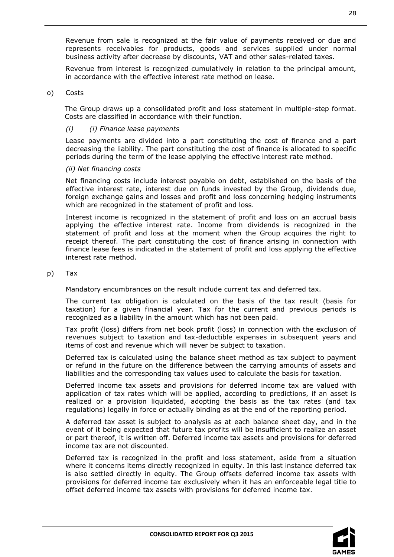Revenue from sale is recognized at the fair value of payments received or due and represents receivables for products, goods and services supplied under normal business activity after decrease by discounts, VAT and other sales-related taxes.

Revenue from interest is recognized cumulatively in relation to the principal amount, in accordance with the effective interest rate method on lease.

#### o) Costs

The Group draws up a consolidated profit and loss statement in multiple-step format. Costs are classified in accordance with their function.

#### *(i) (i) Finance lease payments*

Lease payments are divided into a part constituting the cost of finance and a part decreasing the liability. The part constituting the cost of finance is allocated to specific periods during the term of the lease applying the effective interest rate method.

#### *(ii) Net financing costs*

Net financing costs include interest payable on debt, established on the basis of the effective interest rate, interest due on funds invested by the Group, dividends due, foreign exchange gains and losses and profit and loss concerning hedging instruments which are recognized in the statement of profit and loss.

Interest income is recognized in the statement of profit and loss on an accrual basis applying the effective interest rate. Income from dividends is recognized in the statement of profit and loss at the moment when the Group acquires the right to receipt thereof. The part constituting the cost of finance arising in connection with finance lease fees is indicated in the statement of profit and loss applying the effective interest rate method.

#### p) Tax

Mandatory encumbrances on the result include current tax and deferred tax.

The current tax obligation is calculated on the basis of the tax result (basis for taxation) for a given financial year. Tax for the current and previous periods is recognized as a liability in the amount which has not been paid.

Tax profit (loss) differs from net book profit (loss) in connection with the exclusion of revenues subject to taxation and tax-deductible expenses in subsequent years and items of cost and revenue which will never be subject to taxation.

Deferred tax is calculated using the balance sheet method as tax subject to payment or refund in the future on the difference between the carrying amounts of assets and liabilities and the corresponding tax values used to calculate the basis for taxation.

Deferred income tax assets and provisions for deferred income tax are valued with application of tax rates which will be applied, according to predictions, if an asset is realized or a provision liquidated, adopting the basis as the tax rates (and tax regulations) legally in force or actually binding as at the end of the reporting period.

A deferred tax asset is subject to analysis as at each balance sheet day, and in the event of it being expected that future tax profits will be insufficient to realize an asset or part thereof, it is written off. Deferred income tax assets and provisions for deferred income tax are not discounted.

Deferred tax is recognized in the profit and loss statement, aside from a situation where it concerns items directly recognized in equity. In this last instance deferred tax is also settled directly in equity. The Group offsets deferred income tax assets with provisions for deferred income tax exclusively when it has an enforceable legal title to offset deferred income tax assets with provisions for deferred income tax.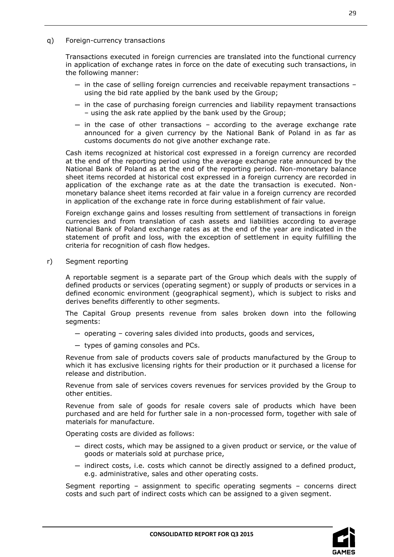q) Foreign-currency transactions

Transactions executed in foreign currencies are translated into the functional currency in application of exchange rates in force on the date of executing such transactions, in the following manner:

- $-$  in the case of selling foreign currencies and receivable repayment transactions  $$ using the bid rate applied by the bank used by the Group;
- $-$  in the case of purchasing foreign currencies and liability repayment transactions – using the ask rate applied by the bank used by the Group;
- $-$  in the case of other transactions according to the average exchange rate announced for a given currency by the National Bank of Poland in as far as customs documents do not give another exchange rate.

Cash items recognized at historical cost expressed in a foreign currency are recorded at the end of the reporting period using the average exchange rate announced by the National Bank of Poland as at the end of the reporting period. Non-monetary balance sheet items recorded at historical cost expressed in a foreign currency are recorded in application of the exchange rate as at the date the transaction is executed. Nonmonetary balance sheet items recorded at fair value in a foreign currency are recorded in application of the exchange rate in force during establishment of fair value.

Foreign exchange gains and losses resulting from settlement of transactions in foreign currencies and from translation of cash assets and liabilities according to average National Bank of Poland exchange rates as at the end of the year are indicated in the statement of profit and loss, with the exception of settlement in equity fulfilling the criteria for recognition of cash flow hedges.

r) Segment reporting

A reportable segment is a separate part of the Group which deals with the supply of defined products or services (operating segment) or supply of products or services in a defined economic environment (geographical segment), which is subject to risks and derives benefits differently to other segments.

The Capital Group presents revenue from sales broken down into the following segments:

- $-$  operating covering sales divided into products, goods and services,
- ─ types of gaming consoles and PCs.

Revenue from sale of products covers sale of products manufactured by the Group to which it has exclusive licensing rights for their production or it purchased a license for release and distribution.

Revenue from sale of services covers revenues for services provided by the Group to other entities.

Revenue from sale of goods for resale covers sale of products which have been purchased and are held for further sale in a non-processed form, together with sale of materials for manufacture.

Operating costs are divided as follows:

- ─ direct costs, which may be assigned to a given product or service, or the value of goods or materials sold at purchase price,
- $-$  indirect costs, i.e. costs which cannot be directly assigned to a defined product, e.g. administrative, sales and other operating costs.

Segment reporting – assignment to specific operating segments – concerns direct costs and such part of indirect costs which can be assigned to a given segment.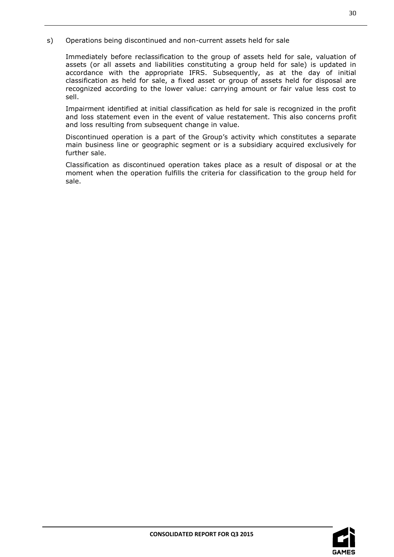s) Operations being discontinued and non-current assets held for sale

Immediately before reclassification to the group of assets held for sale, valuation of assets (or all assets and liabilities constituting a group held for sale) is updated in accordance with the appropriate IFRS. Subsequently, as at the day of initial classification as held for sale, a fixed asset or group of assets held for disposal are recognized according to the lower value: carrying amount or fair value less cost to sell.

Impairment identified at initial classification as held for sale is recognized in the profit and loss statement even in the event of value restatement. This also concerns profit and loss resulting from subsequent change in value.

Discontinued operation is a part of the Group's activity which constitutes a separate main business line or geographic segment or is a subsidiary acquired exclusively for further sale.

Classification as discontinued operation takes place as a result of disposal or at the moment when the operation fulfills the criteria for classification to the group held for sale.

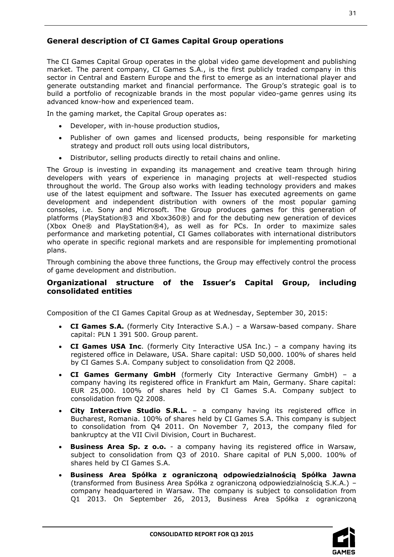# <span id="page-30-0"></span>**General description of CI Games Capital Group operations**

The CI Games Capital Group operates in the global video game development and publishing market. The parent company, CI Games S.A., is the first publicly traded company in this sector in Central and Eastern Europe and the first to emerge as an international player and generate outstanding market and financial performance. The Group's strategic goal is to build a portfolio of recognizable brands in the most popular video-game genres using its advanced know-how and experienced team.

In the gaming market, the Capital Group operates as:

- Developer, with in-house production studios,
- Publisher of own games and licensed products, being responsible for marketing strategy and product roll outs using local distributors,
- Distributor, selling products directly to retail chains and online.

The Group is investing in expanding its management and creative team through hiring developers with years of experience in managing projects at well-respected studios throughout the world. The Group also works with leading technology providers and makes use of the latest equipment and software. The Issuer has executed agreements on game development and independent distribution with owners of the most popular gaming consoles, i.e. Sony and Microsoft. The Group produces games for this generation of platforms (PlayStation®3 and Xbox360®) and for the debuting new generation of devices (Xbox One® and PlayStation®4), as well as for PCs. In order to maximize sales performance and marketing potential, CI Games collaborates with international distributors who operate in specific regional markets and are responsible for implementing promotional plans.

Through combining the above three functions, the Group may effectively control the process of game development and distribution.

# <span id="page-30-1"></span>**Organizational structure of the Issuer's Capital Group, including consolidated entities**

Composition of the CI Games Capital Group as at Wednesday, September 30, 2015:

- **CI Games S.A.** (formerly City Interactive S.A.) a Warsaw-based company. Share capital: PLN 1 391 500. Group parent.
- **CI Games USA Inc**. (formerly City Interactive USA Inc.) a company having its registered office in Delaware, USA. Share capital: USD 50,000. 100% of shares held by CI Games S.A. Company subject to consolidation from Q2 2008.
- **CI Games Germany GmbH** (formerly City Interactive Germany GmbH) a company having its registered office in Frankfurt am Main, Germany. Share capital: EUR 25,000. 100% of shares held by CI Games S.A. Company subject to consolidation from Q2 2008.
- **City Interactive Studio S.R.L.** a company having its registered office in Bucharest, Romania. 100% of shares held by CI Games S.A. This company is subject to consolidation from Q4 2011. On November 7, 2013, the company filed for bankruptcy at the VII Civil Division, Court in Bucharest.
- **Business Area Sp. z o.o.**  a company having its registered office in Warsaw, subject to consolidation from Q3 of 2010. Share capital of PLN 5,000. 100% of shares held by CI Games S.A.
- **Business Area Spółka z ograniczoną odpowiedzialnością Spółka Jawna** (transformed from Business Area Spółka z ograniczoną odpowiedzialnością S.K.A.) – company headquartered in Warsaw. The company is subject to consolidation from Q1 2013. On September 26, 2013, Business Area Spółka z ograniczoną

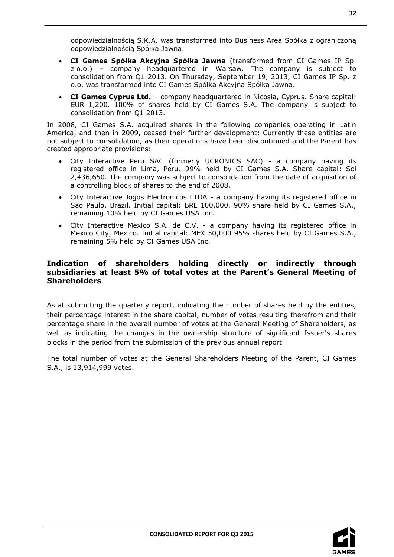odpowiedzialnością S.K.A. was transformed into Business Area Spółka z ograniczoną odpowiedzialnością Spółka Jawna.

- **CI Games Spółka Akcyjna Spółka Jawna** (transformed from CI Games IP Sp. z o.o.) – company headquartered in Warsaw. The company is subject to consolidation from Q1 2013. On Thursday, September 19, 2013, CI Games IP Sp. z o.o. was transformed into CI Games Spółka Akcyjna Spółka Jawna.
- **CI Games Cyprus Ltd.** company headquartered in Nicosia, Cyprus. Share capital: EUR 1,200. 100% of shares held by CI Games S.A. The company is subject to consolidation from Q1 2013.

In 2008, CI Games S.A. acquired shares in the following companies operating in Latin America, and then in 2009, ceased their further development: Currently these entities are not subject to consolidation, as their operations have been discontinued and the Parent has created appropriate provisions:

- City Interactive Peru SAC (formerly UCRONICS SAC) a company having its registered office in Lima, Peru. 99% held by CI Games S.A. Share capital: Sol 2,436,650. The company was subject to consolidation from the date of acquisition of a controlling block of shares to the end of 2008.
- City Interactive Jogos Electronicos LTDA a company having its registered office in Sao Paulo, Brazil. Initial capital: BRL 100,000. 90% share held by CI Games S.A., remaining 10% held by CI Games USA Inc.
- City Interactive Mexico S.A. de C.V. a company having its registered office in Mexico City, Mexico. Initial capital: MEX 50,000 95% shares held by CI Games S.A., remaining 5% held by CI Games USA Inc.

# <span id="page-31-0"></span>**Indication of shareholders holding directly or indirectly through subsidiaries at least 5% of total votes at the Parent's General Meeting of Shareholders**

As at submitting the quarterly report, indicating the number of shares held by the entities, their percentage interest in the share capital, number of votes resulting therefrom and their percentage share in the overall number of votes at the General Meeting of Shareholders, as well as indicating the changes in the ownership structure of significant Issuer's shares blocks in the period from the submission of the previous annual report

The total number of votes at the General Shareholders Meeting of the Parent, CI Games S.A., is 13,914,999 votes.

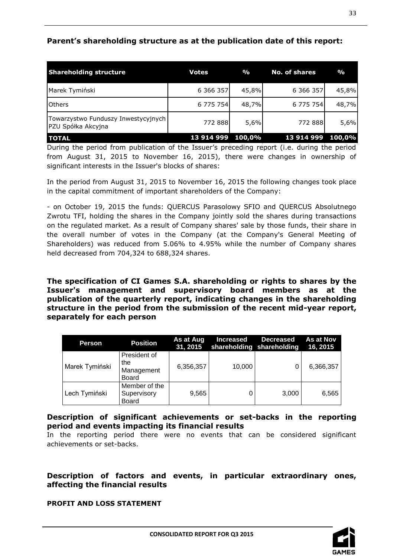# <span id="page-32-0"></span>**Parent's shareholding structure as at the publication date of this report:**

| <b>Shareholding structure</b>                             | <b>Votes</b> | $\frac{9}{6}$ | No. of shares | $\frac{0}{0}$ |
|-----------------------------------------------------------|--------------|---------------|---------------|---------------|
| Marek Tymiński                                            | 6 366 357    | 45,8%         | 6 366 357     | 45,8%         |
| <b>Others</b>                                             | 6 775 754    | 48,7%         | 6 775 754     | 48,7%         |
| Towarzystwo Funduszy Inwestycyjnych<br>PZU Spółka Akcyjna | 772 888      | 5,6%          | 772 888       | 5,6%          |
| <b>TOTAL</b>                                              | 13 914 999   | 100,0%        | 13 914 999    | 100,0%        |

During the period from publication of the Issuer's preceding report (i.e. during the period from August 31, 2015 to November 16, 2015), there were changes in ownership of significant interests in the Issuer's blocks of shares:

In the period from August 31, 2015 to November 16, 2015 the following changes took place in the capital commitment of important shareholders of the Company:

- on October 19, 2015 the funds: QUERCUS Parasolowy SFIO and QUERCUS Absolutnego Zwrotu TFI, holding the shares in the Company jointly sold the shares during transactions on the regulated market. As a result of Company shares' sale by those funds, their share in the overall number of votes in the Company (at the Company's General Meeting of Shareholders) was reduced from 5.06% to 4.95% while the number of Company shares held decreased from 704,324 to 688,324 shares.

<span id="page-32-1"></span>**The specification of CI Games S.A. shareholding or rights to shares by the Issuer's management and supervisory board members as at the publication of the quarterly report, indicating changes in the shareholding structure in the period from the submission of the recent mid-year report, separately for each person**

| Person         | <b>Position</b>                              | As at Aug<br>31, 2015 | <b>Increased</b><br>shareholding shareholding | <b>Decreased</b> | As at Nov<br>16, 2015 |
|----------------|----------------------------------------------|-----------------------|-----------------------------------------------|------------------|-----------------------|
| Marek Tymiński | President of<br>the<br>Management<br>Board   | 6,356,357             | 10,000                                        |                  | 6,366,357             |
| Lech Tymiński  | Member of the<br>Supervisory<br><b>Board</b> | 9,565                 |                                               | 3,000            | 6,565                 |

<span id="page-32-2"></span>**Description of significant achievements or set-backs in the reporting period and events impacting its financial results**

In the reporting period there were no events that can be considered significant achievements or set-backs.

<span id="page-32-3"></span>**Description of factors and events, in particular extraordinary ones, affecting the financial results**

**PROFIT AND LOSS STATEMENT**

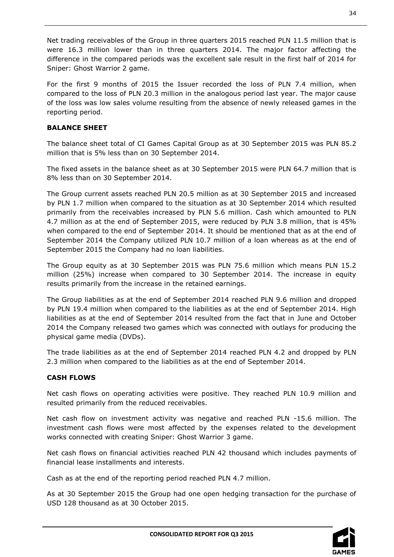Net trading receivables of the Group in three quarters 2015 reached PLN 11.5 million that is were 16.3 million lower than in three quarters 2014. The major factor affecting the difference in the compared periods was the excellent sale result in the first half of 2014 for Sniper: Ghost Warrior 2 game.

For the first 9 months of 2015 the Issuer recorded the loss of PLN 7.4 million, when compared to the loss of PLN 20.3 million in the analogous period last year. The major cause of the loss was low sales volume resulting from the absence of newly released games in the reporting period.

# **BALANCE SHEET**

The balance sheet total of CI Games Capital Group as at 30 September 2015 was PLN 85.2 million that is 5% less than on 30 September 2014.

The fixed assets in the balance sheet as at 30 September 2015 were PLN 64.7 million that is 8% less than on 30 September 2014.

The Group current assets reached PLN 20.5 million as at 30 September 2015 and increased by PLN 1.7 million when compared to the situation as at 30 September 2014 which resulted primarily from the receivables increased by PLN 5.6 million. Cash which amounted to PLN 4.7 million as at the end of September 2015, were reduced by PLN 3.8 million, that is 45% when compared to the end of September 2014. It should be mentioned that as at the end of September 2014 the Company utilized PLN 10.7 million of a loan whereas as at the end of September 2015 the Company had no loan liabilities.

The Group equity as at 30 September 2015 was PLN 75.6 million which means PLN 15.2 million (25%) increase when compared to 30 September 2014. The increase in equity results primarily from the increase in the retained earnings.

The Group liabilities as at the end of September 2014 reached PLN 9.6 million and dropped by PLN 19.4 million when compared to the liabilities as at the end of September 2014. High liabilities as at the end of September 2014 resulted from the fact that in June and October 2014 the Company released two games which was connected with outlays for producing the physical game media (DVDs).

The trade liabilities as at the end of September 2014 reached PLN 4.2 and dropped by PLN 2.3 million when compared to the liabilities as at the end of September 2014.

# **CASH FLOWS**

Net cash flows on operating activities were positive. They reached PLN 10.9 million and resulted primarily from the reduced receivables.

Net cash flow on investment activity was negative and reached PLN -15.6 million. The investment cash flows were most affected by the expenses related to the development works connected with creating Sniper: Ghost Warrior 3 game.

Net cash flows on financial activities reached PLN 42 thousand which includes payments of financial lease installments and interests.

Cash as at the end of the reporting period reached PLN 4.7 million.

As at 30 September 2015 the Group had one open hedging transaction for the purchase of USD 128 thousand as at 30 October 2015.

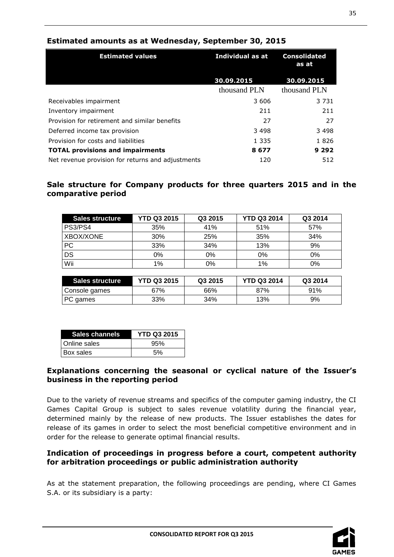| <b>Estimated values</b>                           | Individual as at | <b>Consolidated</b><br>as at |  |
|---------------------------------------------------|------------------|------------------------------|--|
|                                                   | 30.09.2015       | 30.09.2015                   |  |
|                                                   | thousand PLN     | thousand PLN                 |  |
| Receivables impairment                            | 3 606            | 3 7 3 1                      |  |
| Inventory impairment                              | 211              | 211                          |  |
| Provision for retirement and similar benefits     | 27               | 27                           |  |
| Deferred income tax provision                     | 3498             | 3498                         |  |
| Provision for costs and liabilities               | 1 3 3 5          | 1826                         |  |
| <b>TOTAL provisions and impairments</b>           | 8677             | 9 2 9 2                      |  |
| Net revenue provision for returns and adjustments | 120              | 512                          |  |

# <span id="page-34-0"></span>**Estimated amounts as at Wednesday, September 30, 2015**

# <span id="page-34-1"></span>**Sale structure for Company products for three quarters 2015 and in the comparative period**

| Sales structure | <b>YTD Q3 2015</b> | Q3 2015 | <b>YTD Q3 2014</b> | Q3 2014 |
|-----------------|--------------------|---------|--------------------|---------|
| PS3/PS4         | 35%                | 41%     | 51%                | 57%     |
| XBOX/XONE       | 30%                | 25%     | 35%                | 34%     |
| <b>PC</b>       | 33%                | 34%     | 13%                | 9%      |
| DS              | 0%                 | 0%      | 0%                 | 0%      |
| Wii             | 1%                 | 0%      | 1%                 | 0%      |

| Sales structure | <b>YTD Q3 2015</b> | Q3 2015 | <b>YTD Q3 2014</b> | Q3 2014 |
|-----------------|--------------------|---------|--------------------|---------|
| Console games   | 67%                | 66%     | 87%                | 91%     |
| PC games        | 33%                | 34%     | 13%                | 9%      |

| Sales channels | <b>YTD Q3 2015</b> |
|----------------|--------------------|
| Online sales   | 95%                |
| Box sales      | 5%                 |

# <span id="page-34-2"></span>**Explanations concerning the seasonal or cyclical nature of the Issuer's business in the reporting period**

Due to the variety of revenue streams and specifics of the computer gaming industry, the CI Games Capital Group is subject to sales revenue volatility during the financial year, determined mainly by the release of new products. The Issuer establishes the dates for release of its games in order to select the most beneficial competitive environment and in order for the release to generate optimal financial results.

# <span id="page-34-3"></span>**Indication of proceedings in progress before a court, competent authority for arbitration proceedings or public administration authority**

As at the statement preparation, the following proceedings are pending, where CI Games S.A. or its subsidiary is a party:

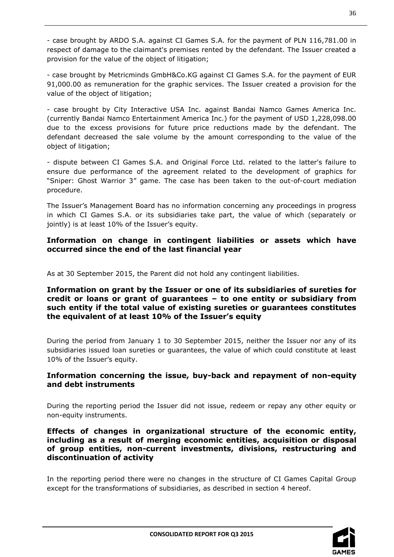- case brought by ARDO S.A. against CI Games S.A. for the payment of PLN 116,781.00 in respect of damage to the claimant's premises rented by the defendant. The Issuer created a provision for the value of the object of litigation;

- case brought by Metricminds GmbH&Co.KG against CI Games S.A. for the payment of EUR 91,000.00 as remuneration for the graphic services. The Issuer created a provision for the value of the object of litigation;

- case brought by City Interactive USA Inc. against Bandai Namco Games America Inc. (currently Bandai Namco Entertainment America Inc.) for the payment of USD 1,228,098.00 due to the excess provisions for future price reductions made by the defendant. The defendant decreased the sale volume by the amount corresponding to the value of the object of litigation;

- dispute between CI Games S.A. and Original Force Ltd. related to the latter's failure to ensure due performance of the agreement related to the development of graphics for "Sniper: Ghost Warrior 3" game. The case has been taken to the out-of-court mediation procedure.

The Issuer's Management Board has no information concerning any proceedings in progress in which CI Games S.A. or its subsidiaries take part, the value of which (separately or jointly) is at least 10% of the Issuer's equity.

<span id="page-35-0"></span>**Information on change in contingent liabilities or assets which have occurred since the end of the last financial year**

As at 30 September 2015, the Parent did not hold any contingent liabilities.

# <span id="page-35-1"></span>**Information on grant by the Issuer or one of its subsidiaries of sureties for credit or loans or grant of guarantees – to one entity or subsidiary from such entity if the total value of existing sureties or guarantees constitutes the equivalent of at least 10% of the Issuer's equity**

During the period from January 1 to 30 September 2015, neither the Issuer nor any of its subsidiaries issued loan sureties or guarantees, the value of which could constitute at least 10% of the Issuer's equity.

# <span id="page-35-2"></span>**Information concerning the issue, buy-back and repayment of non-equity and debt instruments**

During the reporting period the Issuer did not issue, redeem or repay any other equity or non-equity instruments.

# <span id="page-35-3"></span>**Effects of changes in organizational structure of the economic entity, including as a result of merging economic entities, acquisition or disposal of group entities, non-current investments, divisions, restructuring and discontinuation of activity**

In the reporting period there were no changes in the structure of CI Games Capital Group except for the transformations of subsidiaries, as described in section 4 hereof.

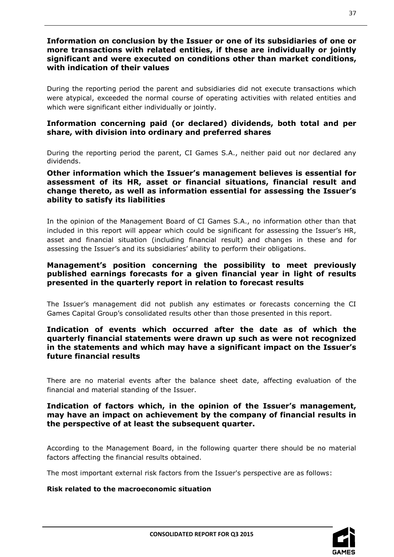# <span id="page-36-0"></span>**Information on conclusion by the Issuer or one of its subsidiaries of one or more transactions with related entities, if these are individually or jointly significant and were executed on conditions other than market conditions, with indication of their values**

During the reporting period the parent and subsidiaries did not execute transactions which were atypical, exceeded the normal course of operating activities with related entities and which were significant either individually or jointly.

# <span id="page-36-1"></span>**Information concerning paid (or declared) dividends, both total and per share, with division into ordinary and preferred shares**

During the reporting period the parent, CI Games S.A., neither paid out nor declared any dividends.

# <span id="page-36-2"></span>**Other information which the Issuer's management believes is essential for assessment of its HR, asset or financial situations, financial result and change thereto, as well as information essential for assessing the Issuer's ability to satisfy its liabilities**

In the opinion of the Management Board of CI Games S.A., no information other than that included in this report will appear which could be significant for assessing the Issuer's HR, asset and financial situation (including financial result) and changes in these and for assessing the Issuer's and its subsidiaries' ability to perform their obligations.

# <span id="page-36-3"></span>**Management's position concerning the possibility to meet previously published earnings forecasts for a given financial year in light of results presented in the quarterly report in relation to forecast results**

The Issuer's management did not publish any estimates or forecasts concerning the CI Games Capital Group's consolidated results other than those presented in this report.

# <span id="page-36-4"></span>**Indication of events which occurred after the date as of which the quarterly financial statements were drawn up such as were not recognized in the statements and which may have a significant impact on the Issuer's future financial results**

There are no material events after the balance sheet date, affecting evaluation of the financial and material standing of the Issuer.

# <span id="page-36-5"></span>**Indication of factors which, in the opinion of the Issuer's management, may have an impact on achievement by the company of financial results in the perspective of at least the subsequent quarter.**

According to the Management Board, in the following quarter there should be no material factors affecting the financial results obtained.

The most important external risk factors from the Issuer's perspective are as follows:

# **Risk related to the macroeconomic situation**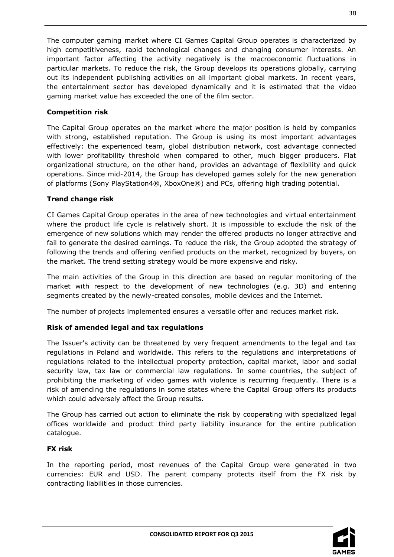The computer gaming market where CI Games Capital Group operates is characterized by high competitiveness, rapid technological changes and changing consumer interests. An important factor affecting the activity negatively is the macroeconomic fluctuations in particular markets. To reduce the risk, the Group develops its operations globally, carrying out its independent publishing activities on all important global markets. In recent years, the entertainment sector has developed dynamically and it is estimated that the video gaming market value has exceeded the one of the film sector.

# **Competition risk**

The Capital Group operates on the market where the major position is held by companies with strong, established reputation. The Group is using its most important advantages effectively: the experienced team, global distribution network, cost advantage connected with lower profitability threshold when compared to other, much bigger producers. Flat organizational structure, on the other hand, provides an advantage of flexibility and quick operations. Since mid-2014, the Group has developed games solely for the new generation of platforms (Sony PlayStation4®, XboxOne®) and PCs, offering high trading potential.

# **Trend change risk**

CI Games Capital Group operates in the area of new technologies and virtual entertainment where the product life cycle is relatively short. It is impossible to exclude the risk of the emergence of new solutions which may render the offered products no longer attractive and fail to generate the desired earnings. To reduce the risk, the Group adopted the strategy of following the trends and offering verified products on the market, recognized by buyers, on the market. The trend setting strategy would be more expensive and risky.

The main activities of the Group in this direction are based on regular monitoring of the market with respect to the development of new technologies (e.g. 3D) and entering segments created by the newly-created consoles, mobile devices and the Internet.

The number of projects implemented ensures a versatile offer and reduces market risk.

# **Risk of amended legal and tax regulations**

The Issuer's activity can be threatened by very frequent amendments to the legal and tax regulations in Poland and worldwide. This refers to the regulations and interpretations of regulations related to the intellectual property protection, capital market, labor and social security law, tax law or commercial law regulations. In some countries, the subject of prohibiting the marketing of video games with violence is recurring frequently. There is a risk of amending the regulations in some states where the Capital Group offers its products which could adversely affect the Group results.

The Group has carried out action to eliminate the risk by cooperating with specialized legal offices worldwide and product third party liability insurance for the entire publication catalogue.

# **FX risk**

In the reporting period, most revenues of the Capital Group were generated in two currencies: EUR and USD. The parent company protects itself from the FX risk by contracting liabilities in those currencies.

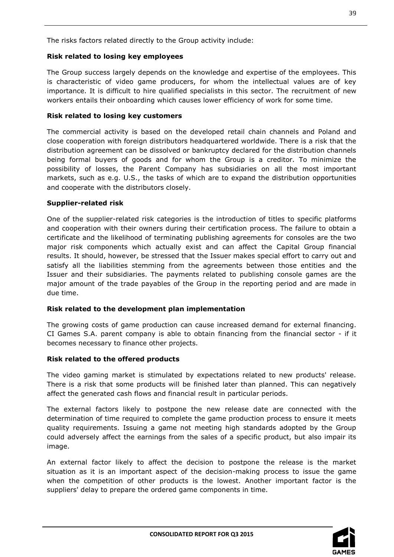The risks factors related directly to the Group activity include:

# **Risk related to losing key employees**

The Group success largely depends on the knowledge and expertise of the employees. This is characteristic of video game producers, for whom the intellectual values are of key importance. It is difficult to hire qualified specialists in this sector. The recruitment of new workers entails their onboarding which causes lower efficiency of work for some time.

#### **Risk related to losing key customers**

The commercial activity is based on the developed retail chain channels and Poland and close cooperation with foreign distributors headquartered worldwide. There is a risk that the distribution agreement can be dissolved or bankruptcy declared for the distribution channels being formal buyers of goods and for whom the Group is a creditor. To minimize the possibility of losses, the Parent Company has subsidiaries on all the most important markets, such as e.g. U.S., the tasks of which are to expand the distribution opportunities and cooperate with the distributors closely.

#### **Supplier-related risk**

One of the supplier-related risk categories is the introduction of titles to specific platforms and cooperation with their owners during their certification process. The failure to obtain a certificate and the likelihood of terminating publishing agreements for consoles are the two major risk components which actually exist and can affect the Capital Group financial results. It should, however, be stressed that the Issuer makes special effort to carry out and satisfy all the liabilities stemming from the agreements between those entities and the Issuer and their subsidiaries. The payments related to publishing console games are the major amount of the trade payables of the Group in the reporting period and are made in due time.

# **Risk related to the development plan implementation**

The growing costs of game production can cause increased demand for external financing. CI Games S.A. parent company is able to obtain financing from the financial sector - if it becomes necessary to finance other projects.

# **Risk related to the offered products**

The video gaming market is stimulated by expectations related to new products' release. There is a risk that some products will be finished later than planned. This can negatively affect the generated cash flows and financial result in particular periods.

The external factors likely to postpone the new release date are connected with the determination of time required to complete the game production process to ensure it meets quality requirements. Issuing a game not meeting high standards adopted by the Group could adversely affect the earnings from the sales of a specific product, but also impair its image.

An external factor likely to affect the decision to postpone the release is the market situation as it is an important aspect of the decision-making process to issue the game when the competition of other products is the lowest. Another important factor is the suppliers' delay to prepare the ordered game components in time.